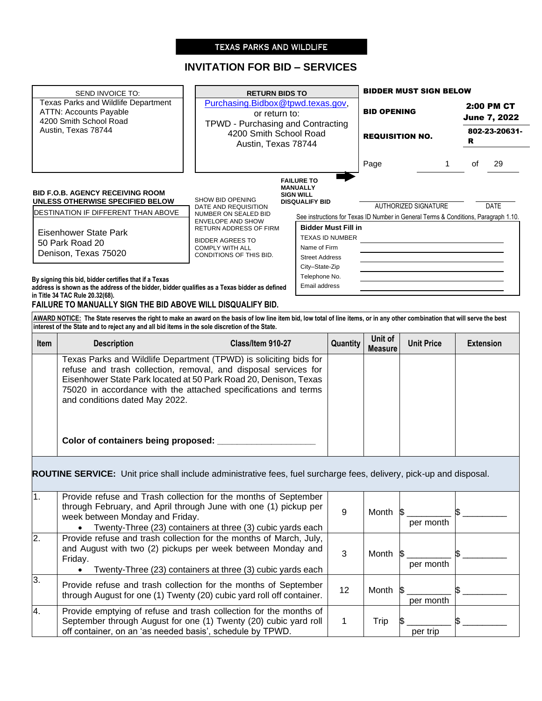# TEXAS PARKS AND WILDLIFE

# **INVITATION FOR BID – SERVICES**

|                                     | SEND INVOICE TO:                                                                                                                                                                                                                                                               | <b>RETURN BIDS TO</b>                                                              |                                     |                  |                        | <b>BIDDER MUST SIGN BELOW</b>                                                       |         |                     |  |
|-------------------------------------|--------------------------------------------------------------------------------------------------------------------------------------------------------------------------------------------------------------------------------------------------------------------------------|------------------------------------------------------------------------------------|-------------------------------------|------------------|------------------------|-------------------------------------------------------------------------------------|---------|---------------------|--|
| Texas Parks and Wildlife Department |                                                                                                                                                                                                                                                                                | Purchasing.Bidbox@tpwd.texas.gov,                                                  |                                     |                  | <b>BID OPENING</b>     |                                                                                     |         | 2:00 PM CT          |  |
|                                     | <b>ATTN: Accounts Payable</b><br>or return to:<br>4200 Smith School Road                                                                                                                                                                                                       |                                                                                    |                                     |                  |                        |                                                                                     |         | <b>June 7, 2022</b> |  |
| Austin, Texas 78744                 |                                                                                                                                                                                                                                                                                | TPWD - Purchasing and Contracting<br>4200 Smith School Road<br>Austin, Texas 78744 |                                     |                  |                        |                                                                                     |         | 802-23-20631-       |  |
|                                     |                                                                                                                                                                                                                                                                                |                                                                                    |                                     |                  | <b>REQUISITION NO.</b> |                                                                                     | R       |                     |  |
|                                     |                                                                                                                                                                                                                                                                                |                                                                                    |                                     |                  |                        |                                                                                     |         |                     |  |
|                                     |                                                                                                                                                                                                                                                                                |                                                                                    |                                     |                  | Page                   |                                                                                     | οf<br>1 | 29                  |  |
|                                     |                                                                                                                                                                                                                                                                                |                                                                                    | <b>FAILURE TO</b>                   |                  |                        |                                                                                     |         |                     |  |
|                                     | <b>BID F.O.B. AGENCY RECEIVING ROOM</b>                                                                                                                                                                                                                                        |                                                                                    | <b>MANUALLY</b><br><b>SIGN WILL</b> |                  |                        |                                                                                     |         |                     |  |
| UNLESS OTHERWISE SPECIFIED BELOW    |                                                                                                                                                                                                                                                                                | SHOW BID OPENING<br>DATE AND REQUISITION                                           | <b>DISQUALIFY BID</b>               |                  | AUTHORIZED SIGNATURE   |                                                                                     |         | <b>DATE</b>         |  |
|                                     | DESTINATION IF DIFFERENT THAN ABOVE                                                                                                                                                                                                                                            | NUMBER ON SEALED BID                                                               |                                     |                  |                        | See instructions for Texas ID Number in General Terms & Conditions, Paragraph 1.10. |         |                     |  |
|                                     |                                                                                                                                                                                                                                                                                | <b>ENVELOPE AND SHOW</b><br>RETURN ADDRESS OF FIRM                                 | <b>Bidder Must Fill in</b>          |                  |                        |                                                                                     |         |                     |  |
|                                     | Eisenhower State Park<br>50 Park Road 20                                                                                                                                                                                                                                       | <b>BIDDER AGREES TO</b>                                                            | <b>TEXAS ID NUMBER</b>              |                  |                        |                                                                                     |         |                     |  |
|                                     | Denison, Texas 75020                                                                                                                                                                                                                                                           | <b>COMPLY WITH ALL</b>                                                             | Name of Firm                        |                  |                        |                                                                                     |         |                     |  |
|                                     |                                                                                                                                                                                                                                                                                | CONDITIONS OF THIS BID.                                                            | <b>Street Address</b>               |                  |                        |                                                                                     |         |                     |  |
|                                     |                                                                                                                                                                                                                                                                                |                                                                                    | City-State-Zip<br>Telephone No.     |                  |                        |                                                                                     |         |                     |  |
|                                     | By signing this bid, bidder certifies that if a Texas<br>address is shown as the address of the bidder, bidder qualifies as a Texas bidder as defined                                                                                                                          |                                                                                    | Email address                       |                  |                        |                                                                                     |         |                     |  |
|                                     | in Title 34 TAC Rule 20.32(68).                                                                                                                                                                                                                                                |                                                                                    |                                     |                  |                        |                                                                                     |         |                     |  |
|                                     | FAILURE TO MANUALLY SIGN THE BID ABOVE WILL DISQUALIFY BID.                                                                                                                                                                                                                    |                                                                                    |                                     |                  |                        |                                                                                     |         |                     |  |
|                                     | AWARD NOTICE: The State reserves the right to make an award on the basis of low line item bid, low total of line items, or in any other combination that will serve the best<br>interest of the State and to reject any and all bid items in the sole discretion of the State. |                                                                                    |                                     |                  |                        |                                                                                     |         |                     |  |
|                                     |                                                                                                                                                                                                                                                                                |                                                                                    |                                     |                  | Unit of                |                                                                                     |         |                     |  |
| <b>Item</b>                         | <b>Description</b>                                                                                                                                                                                                                                                             | Class/Item 910-27                                                                  |                                     | Quantity         | <b>Measure</b>         | <b>Unit Price</b>                                                                   |         | <b>Extension</b>    |  |
|                                     | Texas Parks and Wildlife Department (TPWD) is soliciting bids for                                                                                                                                                                                                              |                                                                                    |                                     |                  |                        |                                                                                     |         |                     |  |
|                                     | refuse and trash collection, removal, and disposal services for                                                                                                                                                                                                                |                                                                                    |                                     |                  |                        |                                                                                     |         |                     |  |
|                                     | Eisenhower State Park located at 50 Park Road 20, Denison, Texas                                                                                                                                                                                                               |                                                                                    |                                     |                  |                        |                                                                                     |         |                     |  |
|                                     | 75020 in accordance with the attached specifications and terms<br>and conditions dated May 2022.                                                                                                                                                                               |                                                                                    |                                     |                  |                        |                                                                                     |         |                     |  |
|                                     |                                                                                                                                                                                                                                                                                |                                                                                    |                                     |                  |                        |                                                                                     |         |                     |  |
|                                     |                                                                                                                                                                                                                                                                                |                                                                                    |                                     |                  |                        |                                                                                     |         |                     |  |
|                                     |                                                                                                                                                                                                                                                                                |                                                                                    |                                     |                  |                        |                                                                                     |         |                     |  |
|                                     |                                                                                                                                                                                                                                                                                |                                                                                    |                                     |                  |                        |                                                                                     |         |                     |  |
|                                     | Color of containers being proposed: ________________                                                                                                                                                                                                                           |                                                                                    |                                     |                  |                        |                                                                                     |         |                     |  |
|                                     |                                                                                                                                                                                                                                                                                |                                                                                    |                                     |                  |                        |                                                                                     |         |                     |  |
|                                     |                                                                                                                                                                                                                                                                                |                                                                                    |                                     |                  |                        |                                                                                     |         |                     |  |
|                                     | <b>ROUTINE SERVICE:</b> Unit price shall include administrative fees, fuel surcharge fees, delivery, pick-up and disposal.                                                                                                                                                     |                                                                                    |                                     |                  |                        |                                                                                     |         |                     |  |
|                                     |                                                                                                                                                                                                                                                                                |                                                                                    |                                     |                  |                        |                                                                                     |         |                     |  |
|                                     | Provide refuse and Trash collection for the months of September<br>through February, and April through June with one (1) pickup per                                                                                                                                            |                                                                                    |                                     |                  |                        |                                                                                     |         |                     |  |
|                                     | week between Monday and Friday.                                                                                                                                                                                                                                                |                                                                                    |                                     | $\boldsymbol{9}$ | Month                  | 15                                                                                  |         |                     |  |
|                                     |                                                                                                                                                                                                                                                                                | Twenty-Three (23) containers at three (3) cubic yards each                         |                                     |                  |                        | per month                                                                           |         |                     |  |
|                                     | Provide refuse and trash collection for the months of March, July,                                                                                                                                                                                                             |                                                                                    |                                     |                  |                        |                                                                                     |         |                     |  |
|                                     | and August with two (2) pickups per week between Monday and                                                                                                                                                                                                                    |                                                                                    |                                     |                  |                        |                                                                                     |         |                     |  |
|                                     | Friday.                                                                                                                                                                                                                                                                        |                                                                                    |                                     | $\mathbf{3}$     | Month                  | <b>S</b><br>per month                                                               |         |                     |  |
| 1.<br>2.                            |                                                                                                                                                                                                                                                                                | Twenty-Three (23) containers at three (3) cubic yards each                         |                                     |                  |                        |                                                                                     |         |                     |  |
| 3.                                  | Provide refuse and trash collection for the months of September<br>through August for one (1) Twenty (20) cubic yard roll off container.                                                                                                                                       |                                                                                    |                                     | 12               | Month                  |                                                                                     |         |                     |  |

4. Provide emptying of refuse and trash collection for the months of

off container, on an 'as needed basis', schedule by TPWD.

September through August for one (1) Twenty (20) cubic yard roll

per month

\$ \_\_\_\_\_\_\_\_\_

per trip

1 | Trip  $\frac{1}{2}$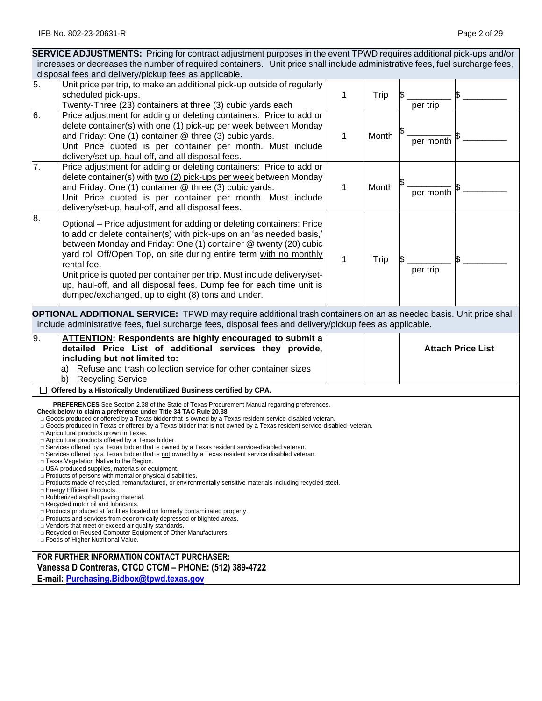|    | <b>SERVICE ADJUSTMENTS:</b> Pricing for contract adjustment purposes in the event TPWD requires additional pick-ups and/or                                                                                                                                                                                                                                                                                                                                                                                                                                                                                                                                                                                                                                                                                                                                                                                                                                                                                                                                                                                                                                                                                                                                                                                                                                                                                                                                                                |   |       |           |                          |
|----|-------------------------------------------------------------------------------------------------------------------------------------------------------------------------------------------------------------------------------------------------------------------------------------------------------------------------------------------------------------------------------------------------------------------------------------------------------------------------------------------------------------------------------------------------------------------------------------------------------------------------------------------------------------------------------------------------------------------------------------------------------------------------------------------------------------------------------------------------------------------------------------------------------------------------------------------------------------------------------------------------------------------------------------------------------------------------------------------------------------------------------------------------------------------------------------------------------------------------------------------------------------------------------------------------------------------------------------------------------------------------------------------------------------------------------------------------------------------------------------------|---|-------|-----------|--------------------------|
|    | increases or decreases the number of required containers. Unit price shall include administrative fees, fuel surcharge fees,<br>disposal fees and delivery/pickup fees as applicable.                                                                                                                                                                                                                                                                                                                                                                                                                                                                                                                                                                                                                                                                                                                                                                                                                                                                                                                                                                                                                                                                                                                                                                                                                                                                                                     |   |       |           |                          |
| 5. | Unit price per trip, to make an additional pick-up outside of regularly                                                                                                                                                                                                                                                                                                                                                                                                                                                                                                                                                                                                                                                                                                                                                                                                                                                                                                                                                                                                                                                                                                                                                                                                                                                                                                                                                                                                                   |   |       |           |                          |
|    | scheduled pick-ups.                                                                                                                                                                                                                                                                                                                                                                                                                                                                                                                                                                                                                                                                                                                                                                                                                                                                                                                                                                                                                                                                                                                                                                                                                                                                                                                                                                                                                                                                       | 1 | Trip  |           |                          |
|    | Twenty-Three (23) containers at three (3) cubic yards each                                                                                                                                                                                                                                                                                                                                                                                                                                                                                                                                                                                                                                                                                                                                                                                                                                                                                                                                                                                                                                                                                                                                                                                                                                                                                                                                                                                                                                |   |       | per trip  |                          |
| 6. | Price adjustment for adding or deleting containers: Price to add or<br>delete container(s) with one (1) pick-up per week between Monday<br>and Friday: One (1) container @ three (3) cubic yards.<br>Unit Price quoted is per container per month. Must include<br>delivery/set-up, haul-off, and all disposal fees.                                                                                                                                                                                                                                                                                                                                                                                                                                                                                                                                                                                                                                                                                                                                                                                                                                                                                                                                                                                                                                                                                                                                                                      | 1 | Month | per month |                          |
| 7. | Price adjustment for adding or deleting containers: Price to add or<br>delete container(s) with two (2) pick-ups per week between Monday<br>and Friday: One (1) container @ three (3) cubic yards.<br>Unit Price quoted is per container per month. Must include<br>delivery/set-up, haul-off, and all disposal fees.                                                                                                                                                                                                                                                                                                                                                                                                                                                                                                                                                                                                                                                                                                                                                                                                                                                                                                                                                                                                                                                                                                                                                                     | 1 | Month | per month |                          |
| 8. | Optional – Price adjustment for adding or deleting containers: Price<br>to add or delete container(s) with pick-ups on an 'as needed basis,'<br>between Monday and Friday: One (1) container @ twenty (20) cubic<br>yard roll Off/Open Top, on site during entire term with no monthly<br>rental fee.<br>Unit price is quoted per container per trip. Must include delivery/set-<br>up, haul-off, and all disposal fees. Dump fee for each time unit is<br>dumped/exchanged, up to eight (8) tons and under.                                                                                                                                                                                                                                                                                                                                                                                                                                                                                                                                                                                                                                                                                                                                                                                                                                                                                                                                                                              | 1 | Trip  | per trip  |                          |
| 9. | <b>OPTIONAL ADDITIONAL SERVICE:</b> TPWD may require additional trash containers on an as needed basis. Unit price shall<br>include administrative fees, fuel surcharge fees, disposal fees and delivery/pickup fees as applicable.                                                                                                                                                                                                                                                                                                                                                                                                                                                                                                                                                                                                                                                                                                                                                                                                                                                                                                                                                                                                                                                                                                                                                                                                                                                       |   |       |           |                          |
|    | <b>ATTENTION: Respondents are highly encouraged to submit a</b><br>detailed Price List of additional services they provide,<br>including but not limited to:<br>a) Refuse and trash collection service for other container sizes<br><b>Recycling Service</b><br>b)                                                                                                                                                                                                                                                                                                                                                                                                                                                                                                                                                                                                                                                                                                                                                                                                                                                                                                                                                                                                                                                                                                                                                                                                                        |   |       |           | <b>Attach Price List</b> |
|    | □ Offered by a Historically Underutilized Business certified by CPA.                                                                                                                                                                                                                                                                                                                                                                                                                                                                                                                                                                                                                                                                                                                                                                                                                                                                                                                                                                                                                                                                                                                                                                                                                                                                                                                                                                                                                      |   |       |           |                          |
|    | <b>PREFERENCES</b> See Section 2.38 of the State of Texas Procurement Manual regarding preferences.<br>Check below to claim a preference under Title 34 TAC Rule 20.38<br>$\Box$ Goods produced or offered by a Texas bidder that is owned by a Texas resident service-disabled veteran.<br>□ Goods produced in Texas or offered by a Texas bidder that is not owned by a Texas resident service-disabled veteran.<br>□ Agricultural products grown in Texas.<br>$\Box$ Agricultural products offered by a Texas bidder.<br>$\Box$ Services offered by a Texas bidder that is owned by a Texas resident service-disabled veteran.<br>□ Services offered by a Texas bidder that is not owned by a Texas resident service disabled veteran.<br>□ Texas Vegetation Native to the Region.<br>□ USA produced supplies, materials or equipment.<br>$\Box$ Products of persons with mental or physical disabilities.<br>$\Box$ Products made of recycled, remanufactured, or environmentally sensitive materials including recycled steel.<br>□ Energy Efficient Products.<br>Rubberized asphalt paving material.<br>□ Recycled motor oil and lubricants.<br>$\Box$ Products produced at facilities located on formerly contaminated property.<br>□ Products and services from economically depressed or blighted areas.<br>$\Box$ Vendors that meet or exceed air quality standards.<br>□ Recycled or Reused Computer Equipment of Other Manufacturers.<br>□ Foods of Higher Nutritional Value. |   |       |           |                          |
|    | FOR FURTHER INFORMATION CONTACT PURCHASER:<br>Vanessa D Contreras, CTCD CTCM - PHONE: (512) 389-4722<br>E-mail: Purchasing.Bidbox@tpwd.texas.gov                                                                                                                                                                                                                                                                                                                                                                                                                                                                                                                                                                                                                                                                                                                                                                                                                                                                                                                                                                                                                                                                                                                                                                                                                                                                                                                                          |   |       |           |                          |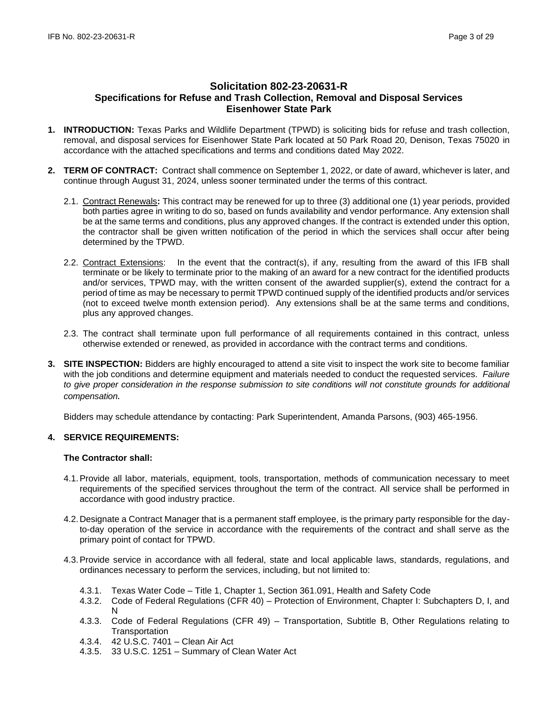# **Solicitation 802-23-20631-R Specifications for Refuse and Trash Collection, Removal and Disposal Services Eisenhower State Park**

- **1. INTRODUCTION:** Texas Parks and Wildlife Department (TPWD) is soliciting bids for refuse and trash collection, removal, and disposal services for Eisenhower State Park located at 50 Park Road 20, Denison, Texas 75020 in accordance with the attached specifications and terms and conditions dated May 2022.
- **2. TERM OF CONTRACT:** Contract shall commence on September 1, 2022, or date of award, whichever is later, and continue through August 31, 2024, unless sooner terminated under the terms of this contract.
	- 2.1. Contract Renewals**:** This contract may be renewed for up to three (3) additional one (1) year periods, provided both parties agree in writing to do so, based on funds availability and vendor performance. Any extension shall be at the same terms and conditions, plus any approved changes. If the contract is extended under this option, the contractor shall be given written notification of the period in which the services shall occur after being determined by the TPWD.
	- 2.2. Contract Extensions: In the event that the contract(s), if any, resulting from the award of this IFB shall terminate or be likely to terminate prior to the making of an award for a new contract for the identified products and/or services, TPWD may, with the written consent of the awarded supplier(s), extend the contract for a period of time as may be necessary to permit TPWD continued supply of the identified products and/or services (not to exceed twelve month extension period). Any extensions shall be at the same terms and conditions, plus any approved changes.
	- 2.3. The contract shall terminate upon full performance of all requirements contained in this contract, unless otherwise extended or renewed, as provided in accordance with the contract terms and conditions.
- **3. SITE INSPECTION:** Bidders are highly encouraged to attend a site visit to inspect the work site to become familiar with the job conditions and determine equipment and materials needed to conduct the requested services. *Failure*  to give proper consideration in the response submission to site conditions will not constitute grounds for additional *compensation.*

Bidders may schedule attendance by contacting: Park Superintendent, Amanda Parsons, (903) 465-1956.

# **4. SERVICE REQUIREMENTS:**

### **The Contractor shall:**

- 4.1.Provide all labor, materials, equipment, tools, transportation, methods of communication necessary to meet requirements of the specified services throughout the term of the contract. All service shall be performed in accordance with good industry practice.
- 4.2. Designate a Contract Manager that is a permanent staff employee, is the primary party responsible for the dayto-day operation of the service in accordance with the requirements of the contract and shall serve as the primary point of contact for TPWD.
- 4.3.Provide service in accordance with all federal, state and local applicable laws, standards, regulations, and ordinances necessary to perform the services, including, but not limited to:
	- 4.3.1. Texas Water Code Title 1, Chapter 1, Section 361.091, Health and Safety Code
	- 4.3.2. Code of Federal Regulations (CFR 40) Protection of Environment, Chapter I: Subchapters D, I, and N
	- 4.3.3. Code of Federal Regulations (CFR 49) Transportation, Subtitle B, Other Regulations relating to **Transportation**
	- 4.3.4. 42 U.S.C. 7401 Clean Air Act
	- 4.3.5. 33 U.S.C. 1251 Summary of Clean Water Act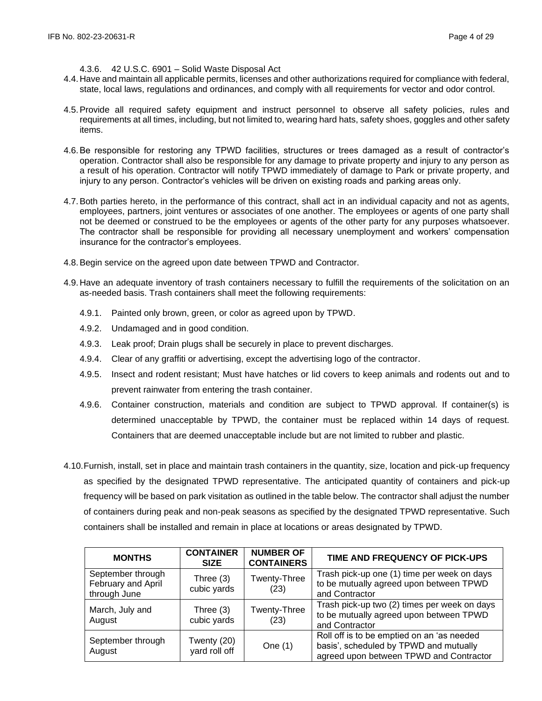### 4.3.6. 42 U.S.C. 6901 – Solid Waste Disposal Act

- 4.4. Have and maintain all applicable permits, licenses and other authorizations required for compliance with federal, state, local laws, regulations and ordinances, and comply with all requirements for vector and odor control.
- 4.5.Provide all required safety equipment and instruct personnel to observe all safety policies, rules and requirements at all times, including, but not limited to, wearing hard hats, safety shoes, goggles and other safety items.
- 4.6.Be responsible for restoring any TPWD facilities, structures or trees damaged as a result of contractor's operation. Contractor shall also be responsible for any damage to private property and injury to any person as a result of his operation. Contractor will notify TPWD immediately of damage to Park or private property, and injury to any person. Contractor's vehicles will be driven on existing roads and parking areas only.
- 4.7.Both parties hereto, in the performance of this contract, shall act in an individual capacity and not as agents, employees, partners, joint ventures or associates of one another. The employees or agents of one party shall not be deemed or construed to be the employees or agents of the other party for any purposes whatsoever. The contractor shall be responsible for providing all necessary unemployment and workers' compensation insurance for the contractor's employees.
- 4.8.Begin service on the agreed upon date between TPWD and Contractor.
- 4.9. Have an adequate inventory of trash containers necessary to fulfill the requirements of the solicitation on an as-needed basis. Trash containers shall meet the following requirements:
	- 4.9.1. Painted only brown, green, or color as agreed upon by TPWD.
	- 4.9.2. Undamaged and in good condition.
	- 4.9.3. Leak proof; Drain plugs shall be securely in place to prevent discharges.
	- 4.9.4. Clear of any graffiti or advertising, except the advertising logo of the contractor.
	- 4.9.5. Insect and rodent resistant; Must have hatches or lid covers to keep animals and rodents out and to prevent rainwater from entering the trash container.
	- 4.9.6. Container construction, materials and condition are subject to TPWD approval. If container(s) is determined unacceptable by TPWD, the container must be replaced within 14 days of request. Containers that are deemed unacceptable include but are not limited to rubber and plastic.
- 4.10.Furnish, install, set in place and maintain trash containers in the quantity, size, location and pick-up frequency as specified by the designated TPWD representative. The anticipated quantity of containers and pick-up frequency will be based on park visitation as outlined in the table below. The contractor shall adjust the number of containers during peak and non-peak seasons as specified by the designated TPWD representative. Such containers shall be installed and remain in place at locations or areas designated by TPWD.

| <b>MONTHS</b>                                           | <b>CONTAINER</b><br><b>SIZE</b> | <b>NUMBER OF</b><br><b>CONTAINERS</b> | TIME AND FREQUENCY OF PICK-UPS                                                                                                  |
|---------------------------------------------------------|---------------------------------|---------------------------------------|---------------------------------------------------------------------------------------------------------------------------------|
| September through<br>February and April<br>through June | Three (3)<br>cubic yards        | Twenty-Three<br>(23)                  | Trash pick-up one (1) time per week on days<br>to be mutually agreed upon between TPWD<br>and Contractor                        |
| March, July and<br>August                               | Three $(3)$<br>cubic yards      | Twenty-Three<br>(23)                  | Trash pick-up two (2) times per week on days<br>to be mutually agreed upon between TPWD<br>and Contractor                       |
| September through<br>August                             | Twenty (20)<br>yard roll off    | One $(1)$                             | Roll off is to be emptied on an 'as needed<br>basis', scheduled by TPWD and mutually<br>agreed upon between TPWD and Contractor |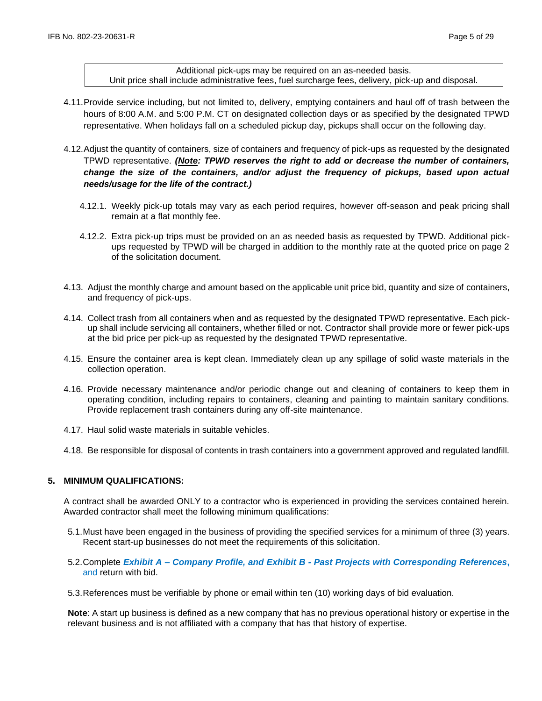Additional pick-ups may be required on an as-needed basis. Unit price shall include administrative fees, fuel surcharge fees, delivery, pick-up and disposal.

- 4.11.Provide service including, but not limited to, delivery, emptying containers and haul off of trash between the hours of 8:00 A.M. and 5:00 P.M. CT on designated collection days or as specified by the designated TPWD representative. When holidays fall on a scheduled pickup day, pickups shall occur on the following day.
- 4.12.Adjust the quantity of containers, size of containers and frequency of pick-ups as requested by the designated TPWD representative. *(Note: TPWD reserves the right to add or decrease the number of containers, change the size of the containers, and/or adjust the frequency of pickups, based upon actual needs/usage for the life of the contract.)*
	- 4.12.1. Weekly pick-up totals may vary as each period requires, however off-season and peak pricing shall remain at a flat monthly fee.
	- 4.12.2. Extra pick-up trips must be provided on an as needed basis as requested by TPWD. Additional pickups requested by TPWD will be charged in addition to the monthly rate at the quoted price on page 2 of the solicitation document.
- 4.13. Adjust the monthly charge and amount based on the applicable unit price bid, quantity and size of containers, and frequency of pick-ups.
- 4.14. Collect trash from all containers when and as requested by the designated TPWD representative. Each pickup shall include servicing all containers, whether filled or not. Contractor shall provide more or fewer pick-ups at the bid price per pick-up as requested by the designated TPWD representative.
- 4.15. Ensure the container area is kept clean. Immediately clean up any spillage of solid waste materials in the collection operation.
- 4.16. Provide necessary maintenance and/or periodic change out and cleaning of containers to keep them in operating condition, including repairs to containers, cleaning and painting to maintain sanitary conditions. Provide replacement trash containers during any off-site maintenance.
- 4.17. Haul solid waste materials in suitable vehicles.
- 4.18. Be responsible for disposal of contents in trash containers into a government approved and regulated landfill.

### **5. MINIMUM QUALIFICATIONS:**

A contract shall be awarded ONLY to a contractor who is experienced in providing the services contained herein. Awarded contractor shall meet the following minimum qualifications:

- 5.1.Must have been engaged in the business of providing the specified services for a minimum of three (3) years. Recent start-up businesses do not meet the requirements of this solicitation.
- 5.2.Complete *Exhibit A – Company Profile, and Exhibit B - Past Projects with Corresponding References***,**  and return with bid.

5.3.References must be verifiable by phone or email within ten (10) working days of bid evaluation.

**Note**: A start up business is defined as a new company that has no previous operational history or expertise in the relevant business and is not affiliated with a company that has that history of expertise.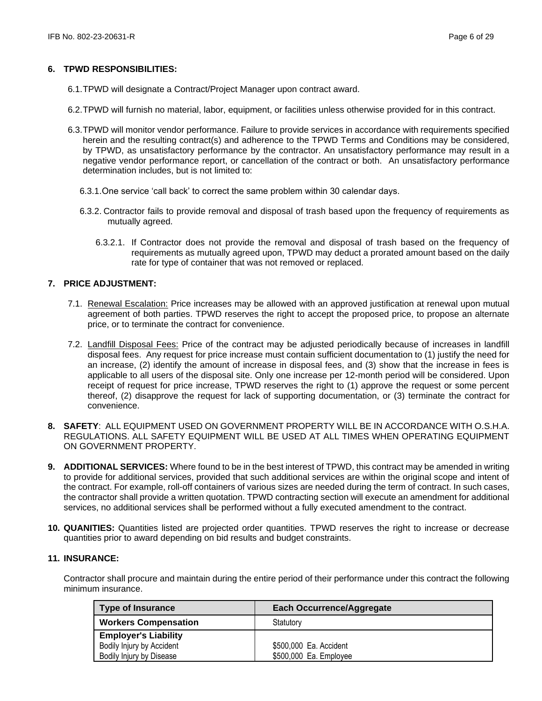### **6. TPWD RESPONSIBILITIES:**

- 6.1.TPWD will designate a Contract/Project Manager upon contract award.
- 6.2.TPWD will furnish no material, labor, equipment, or facilities unless otherwise provided for in this contract.
- 6.3.TPWD will monitor vendor performance. Failure to provide services in accordance with requirements specified herein and the resulting contract(s) and adherence to the TPWD Terms and Conditions may be considered, by TPWD, as unsatisfactory performance by the contractor. An unsatisfactory performance may result in a negative vendor performance report, or cancellation of the contract or both. An unsatisfactory performance determination includes, but is not limited to:
	- 6.3.1.One service 'call back' to correct the same problem within 30 calendar days.
	- 6.3.2. Contractor fails to provide removal and disposal of trash based upon the frequency of requirements as mutually agreed.
		- 6.3.2.1. If Contractor does not provide the removal and disposal of trash based on the frequency of requirements as mutually agreed upon, TPWD may deduct a prorated amount based on the daily rate for type of container that was not removed or replaced.

# **7. PRICE ADJUSTMENT:**

- 7.1. Renewal Escalation: Price increases may be allowed with an approved justification at renewal upon mutual agreement of both parties. TPWD reserves the right to accept the proposed price, to propose an alternate price, or to terminate the contract for convenience.
- 7.2. Landfill Disposal Fees: Price of the contract may be adjusted periodically because of increases in landfill disposal fees. Any request for price increase must contain sufficient documentation to (1) justify the need for an increase, (2) identify the amount of increase in disposal fees, and (3) show that the increase in fees is applicable to all users of the disposal site. Only one increase per 12-month period will be considered. Upon receipt of request for price increase, TPWD reserves the right to (1) approve the request or some percent thereof, (2) disapprove the request for lack of supporting documentation, or (3) terminate the contract for convenience.
- **8. SAFETY**: ALL EQUIPMENT USED ON GOVERNMENT PROPERTY WILL BE IN ACCORDANCE WITH O.S.H.A. REGULATIONS. ALL SAFETY EQUIPMENT WILL BE USED AT ALL TIMES WHEN OPERATING EQUIPMENT ON GOVERNMENT PROPERTY.
- **9. ADDITIONAL SERVICES:** Where found to be in the best interest of TPWD, this contract may be amended in writing to provide for additional services, provided that such additional services are within the original scope and intent of the contract. For example, roll-off containers of various sizes are needed during the term of contract. In such cases, the contractor shall provide a written quotation. TPWD contracting section will execute an amendment for additional services, no additional services shall be performed without a fully executed amendment to the contract.
- **10. QUANITIES:** Quantities listed are projected order quantities. TPWD reserves the right to increase or decrease quantities prior to award depending on bid results and budget constraints.

# **11. INSURANCE:**

Contractor shall procure and maintain during the entire period of their performance under this contract the following minimum insurance.

| <b>Type of Insurance</b>    | <b>Each Occurrence/Aggregate</b> |
|-----------------------------|----------------------------------|
| <b>Workers Compensation</b> | Statutory                        |
| <b>Employer's Liability</b> |                                  |
| Bodily Injury by Accident   | \$500,000 Ea. Accident           |
| Bodily Injury by Disease    | \$500,000 Ea. Employee           |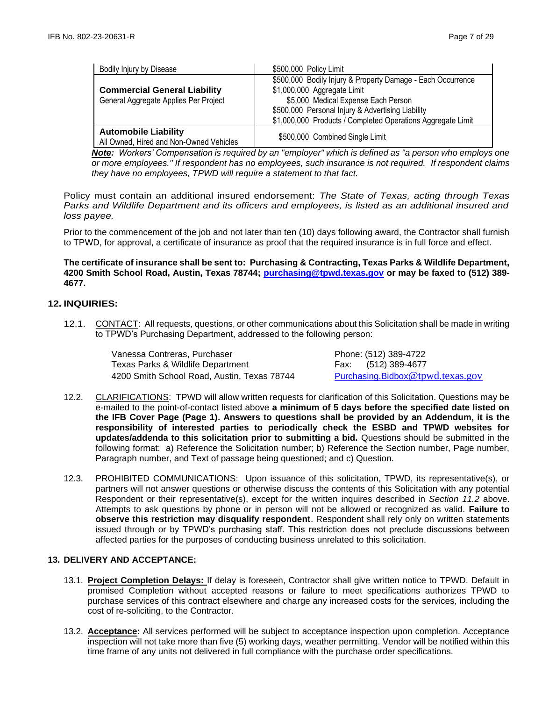| Bodily Injury by Disease                                               | \$500,000 Policy Limit                                                                     |
|------------------------------------------------------------------------|--------------------------------------------------------------------------------------------|
| <b>Commercial General Liability</b>                                    | \$500,000 Bodily Injury & Property Damage - Each Occurrence<br>\$1,000,000 Aggregate Limit |
| General Aggregate Applies Per Project                                  | \$5,000 Medical Expense Each Person                                                        |
|                                                                        | \$500,000 Personal Injury & Advertising Liability                                          |
|                                                                        | \$1,000,000 Products / Completed Operations Aggregate Limit                                |
| <b>Automobile Liability</b><br>All Owned, Hired and Non-Owned Vehicles | \$500,000 Combined Single Limit                                                            |

*Note: Workers' Compensation is required by an "employer" which is defined as "a person who employs one or more employees." If respondent has no employees, such insurance is not required. If respondent claims they have no employees, TPWD will require a statement to that fact.*

Policy must contain an additional insured endorsement: *The State of Texas, acting through Texas Parks and Wildlife Department and its officers and employees, is listed as an additional insured and loss payee.*

Prior to the commencement of the job and not later than ten (10) days following award, the Contractor shall furnish to TPWD, for approval, a certificate of insurance as proof that the required insurance is in full force and effect.

# **The certificate of insurance shall be sent to: Purchasing & Contracting, Texas Parks & Wildlife Department, 4200 Smith School Road, Austin, Texas 78744; [purchasing@tpwd.texas.gov](mailto:purchasing@tpwd.texas.gov) or may be faxed to (512) 389- 4677.**

# **12. INQUIRIES:**

12.1. CONTACT: All requests, questions, or other communications about this Solicitation shall be made in writing to TPWD's Purchasing Department, addressed to the following person:

> Vanessa Contreras, Purchaser **Phone: (512)** 389-4722 Texas Parks & Wildlife Department Fax: (512) 389-4677 4200 Smith School Road, Austin, Texas 78744 [Purchasing.Bidbox](mailto:Purchasing.Bidbox@tpwd.texas.gov)[@tpwd.texas.gov](mailto:Purchasing.Bidbox@tpwd.texas.gov)

- 12.2. CLARIFICATIONS: TPWD will allow written requests for clarification of this Solicitation. Questions may be e-mailed to the point-of-contact listed above **a minimum of 5 days before the specified date listed on the IFB Cover Page (Page 1). Answers to questions shall be provided by an Addendum, it is the responsibility of interested parties to periodically check the ESBD and TPWD websites for updates/addenda to this solicitation prior to submitting a bid.** Questions should be submitted in the following format: a) Reference the Solicitation number; b) Reference the Section number, Page number, Paragraph number, and Text of passage being questioned; and c) Question.
- 12.3. PROHIBITED COMMUNICATIONS: Upon issuance of this solicitation, TPWD, its representative(s), or partners will not answer questions or otherwise discuss the contents of this Solicitation with any potential Respondent or their representative(s), except for the written inquires described in *Section 11.2* above. Attempts to ask questions by phone or in person will not be allowed or recognized as valid. **Failure to observe this restriction may disqualify respondent**. Respondent shall rely only on written statements issued through or by TPWD's purchasing staff. This restriction does not preclude discussions between affected parties for the purposes of conducting business unrelated to this solicitation.

# **13. DELIVERY AND ACCEPTANCE:**

- 13.1. **Project Completion Delays:** If delay is foreseen, Contractor shall give written notice to TPWD. Default in promised Completion without accepted reasons or failure to meet specifications authorizes TPWD to purchase services of this contract elsewhere and charge any increased costs for the services, including the cost of re-soliciting, to the Contractor.
- 13.2. **Acceptance:** All services performed will be subject to acceptance inspection upon completion. Acceptance inspection will not take more than five (5) working days, weather permitting. Vendor will be notified within this time frame of any units not delivered in full compliance with the purchase order specifications.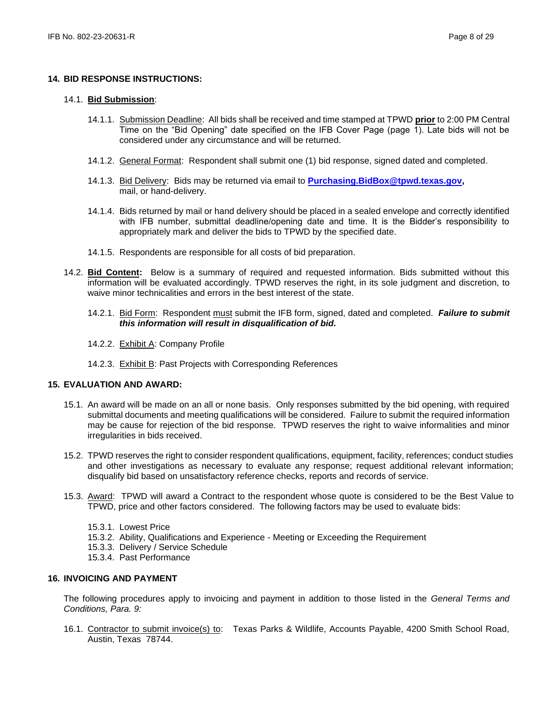#### **14. BID RESPONSE INSTRUCTIONS:**

#### 14.1. **Bid Submission**:

- 14.1.1. Submission Deadline: All bids shall be received and time stamped at TPWD **prior** to 2:00 PM Central Time on the "Bid Opening" date specified on the IFB Cover Page (page 1). Late bids will not be considered under any circumstance and will be returned.
- 14.1.2. General Format: Respondent shall submit one (1) bid response, signed dated and completed.
- 14.1.3. Bid Delivery: Bids may be returned via email to **[Purchasing.BidBox@tpwd.texas.gov,](mailto:Purchasing.BidBox@tpwd.texas.gov)**  mail, or hand-delivery.
- 14.1.4. Bids returned by mail or hand delivery should be placed in a sealed envelope and correctly identified with IFB number, submittal deadline/opening date and time. It is the Bidder's responsibility to appropriately mark and deliver the bids to TPWD by the specified date.
- 14.1.5. Respondents are responsible for all costs of bid preparation.
- 14.2. **Bid Content:** Below is a summary of required and requested information. Bids submitted without this information will be evaluated accordingly. TPWD reserves the right, in its sole judgment and discretion, to waive minor technicalities and errors in the best interest of the state.
	- 14.2.1. Bid Form: Respondent must submit the IFB form, signed, dated and completed. *Failure to submit this information will result in disqualification of bid.*
	- 14.2.2. Exhibit A: Company Profile
	- 14.2.3. Exhibit B: Past Projects with Corresponding References

# **15. EVALUATION AND AWARD:**

- 15.1. An award will be made on an all or none basis. Only responses submitted by the bid opening, with required submittal documents and meeting qualifications will be considered. Failure to submit the required information may be cause for rejection of the bid response. TPWD reserves the right to waive informalities and minor irregularities in bids received.
- 15.2. TPWD reserves the right to consider respondent qualifications, equipment, facility, references; conduct studies and other investigations as necessary to evaluate any response; request additional relevant information; disqualify bid based on unsatisfactory reference checks, reports and records of service.
- 15.3. Award: TPWD will award a Contract to the respondent whose quote is considered to be the Best Value to TPWD, price and other factors considered. The following factors may be used to evaluate bids:
	- 15.3.1. Lowest Price
	- 15.3.2. Ability, Qualifications and Experience Meeting or Exceeding the Requirement
	- 15.3.3. Delivery / Service Schedule
	- 15.3.4. Past Performance

#### **16. INVOICING AND PAYMENT**

The following procedures apply to invoicing and payment in addition to those listed in the *General Terms and Conditions, Para. 9:*

16.1. Contractor to submit invoice(s) to: Texas Parks & Wildlife, Accounts Payable, 4200 Smith School Road, Austin, Texas 78744.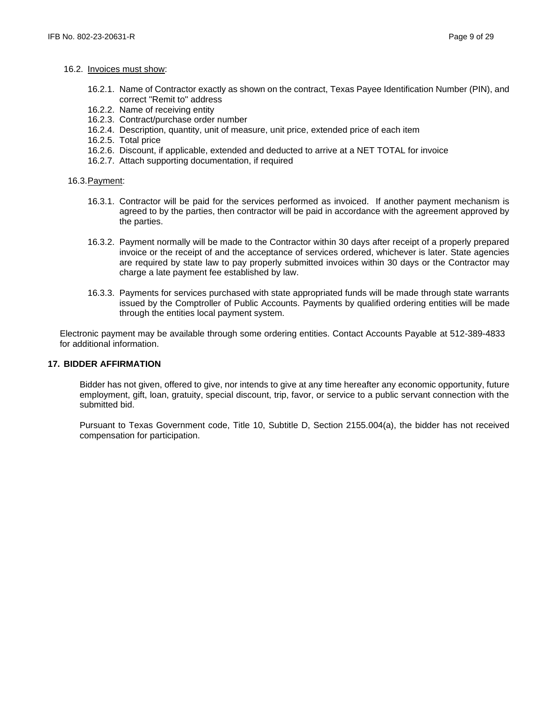#### 16.2. Invoices must show:

- 16.2.1. Name of Contractor exactly as shown on the contract, Texas Payee Identification Number (PIN), and correct "Remit to" address
- 16.2.2. Name of receiving entity
- 16.2.3. Contract/purchase order number
- 16.2.4. Description, quantity, unit of measure, unit price, extended price of each item
- 16.2.5. Total price
- 16.2.6. Discount, if applicable, extended and deducted to arrive at a NET TOTAL for invoice
- 16.2.7. Attach supporting documentation, if required

#### 16.3.Payment:

- 16.3.1. Contractor will be paid for the services performed as invoiced. If another payment mechanism is agreed to by the parties, then contractor will be paid in accordance with the agreement approved by the parties.
- 16.3.2. Payment normally will be made to the Contractor within 30 days after receipt of a properly prepared invoice or the receipt of and the acceptance of services ordered, whichever is later. State agencies are required by state law to pay properly submitted invoices within 30 days or the Contractor may charge a late payment fee established by law.
- 16.3.3. Payments for services purchased with state appropriated funds will be made through state warrants issued by the Comptroller of Public Accounts. Payments by qualified ordering entities will be made through the entities local payment system.

Electronic payment may be available through some ordering entities. Contact Accounts Payable at 512-389-4833 for additional information.

#### **17. BIDDER AFFIRMATION**

Bidder has not given, offered to give, nor intends to give at any time hereafter any economic opportunity, future employment, gift, loan, gratuity, special discount, trip, favor, or service to a public servant connection with the submitted bid.

Pursuant to Texas Government code, Title 10, Subtitle D, Section 2155.004(a), the bidder has not received compensation for participation.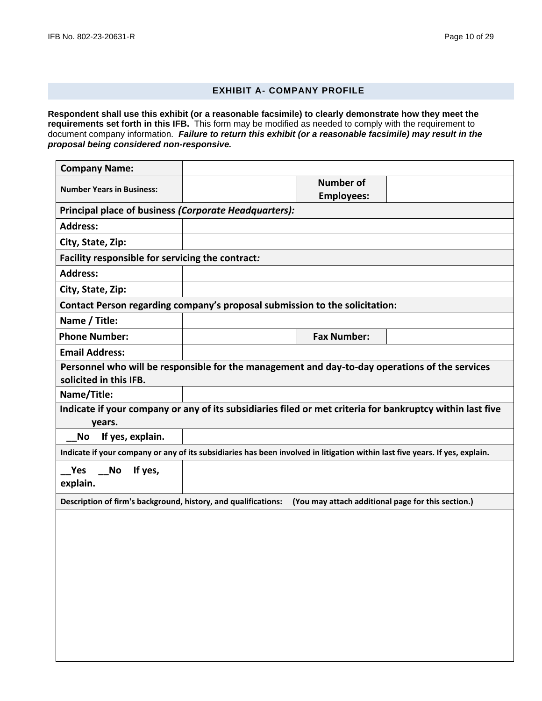# **EXHIBIT A- COMPANY PROFILE**

**Respondent shall use this exhibit (or a reasonable facsimile) to clearly demonstrate how they meet the requirements set forth in this IFB.** This form may be modified as needed to comply with the requirement to document company information. *Failure to return this exhibit (or a reasonable facsimile) may result in the proposal being considered non-responsive.*

| <b>Company Name:</b>                                                                                                         |                    |  |
|------------------------------------------------------------------------------------------------------------------------------|--------------------|--|
| <b>Number Years in Business:</b>                                                                                             | <b>Number of</b>   |  |
|                                                                                                                              | <b>Employees:</b>  |  |
| Principal place of business (Corporate Headquarters):                                                                        |                    |  |
| <b>Address:</b>                                                                                                              |                    |  |
| City, State, Zip:                                                                                                            |                    |  |
| Facility responsible for servicing the contract:                                                                             |                    |  |
| <b>Address:</b>                                                                                                              |                    |  |
| City, State, Zip:                                                                                                            |                    |  |
| Contact Person regarding company's proposal submission to the solicitation:                                                  |                    |  |
| Name / Title:                                                                                                                |                    |  |
| <b>Phone Number:</b>                                                                                                         | <b>Fax Number:</b> |  |
| <b>Email Address:</b>                                                                                                        |                    |  |
|                                                                                                                              |                    |  |
| Personnel who will be responsible for the management and day-to-day operations of the services                               |                    |  |
| solicited in this IFB.                                                                                                       |                    |  |
| Name/Title:                                                                                                                  |                    |  |
| Indicate if your company or any of its subsidiaries filed or met criteria for bankruptcy within last five<br>years.          |                    |  |
| If yes, explain.<br><b>No</b>                                                                                                |                    |  |
| Indicate if your company or any of its subsidiaries has been involved in litigation within last five years. If yes, explain. |                    |  |
| Yes<br>If yes,<br><b>No</b><br>explain.                                                                                      |                    |  |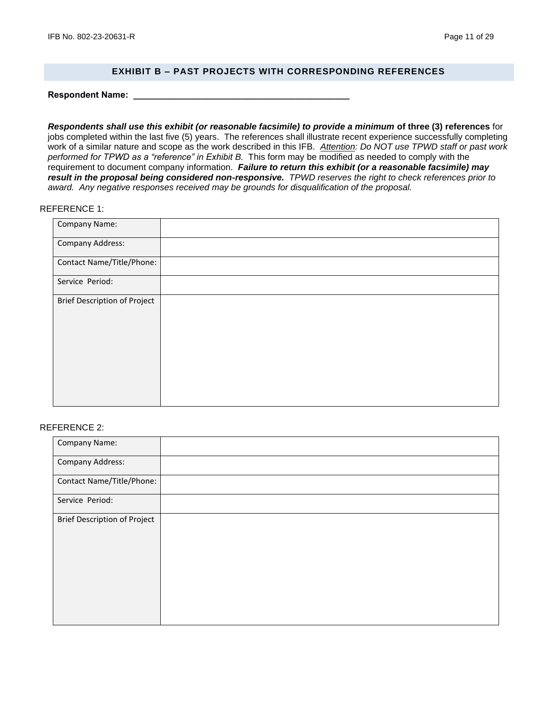### **EXHIBIT B – PAST PROJECTS WITH CORRESPONDING REFERENCES**

**Respondent Name: \_\_\_\_\_\_\_\_\_\_\_\_\_\_\_\_\_\_\_\_\_\_\_\_\_\_\_\_\_\_\_\_\_\_\_\_\_\_\_\_\_\_\_\_**

*Respondents shall use this exhibit (or reasonable facsimile) to provide a minimum* **of three (3) references** for jobs completed within the last five (5) years. The references shall illustrate recent experience successfully completing work of a similar nature and scope as the work described in this IFB. *Attention: Do NOT use TPWD staff or past work performed for TPWD as a "reference" in Exhibit B.* This form may be modified as needed to comply with the requirement to document company information. *Failure to return this exhibit (or a reasonable facsimile) may result in the proposal being considered non-responsive. TPWD reserves the right to check references prior to award. Any negative responses received may be grounds for disqualification of the proposal.*

### REFERENCE 1:

| Company Name:                       |  |
|-------------------------------------|--|
| Company Address:                    |  |
| Contact Name/Title/Phone:           |  |
| Service Period:                     |  |
| <b>Brief Description of Project</b> |  |

#### REFERENCE 2:

| Company Name:                       |  |
|-------------------------------------|--|
| Company Address:                    |  |
| Contact Name/Title/Phone:           |  |
| Service Period:                     |  |
| <b>Brief Description of Project</b> |  |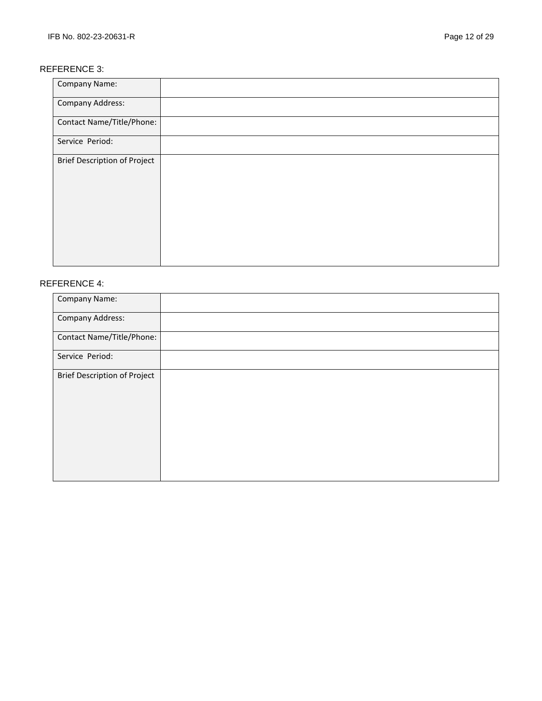# REFERENCE 3:

| Company Name:                       |  |
|-------------------------------------|--|
| <b>Company Address:</b>             |  |
| Contact Name/Title/Phone:           |  |
| Service Period:                     |  |
| <b>Brief Description of Project</b> |  |

# REFERENCE 4:

| Company Name:                       |  |
|-------------------------------------|--|
| <b>Company Address:</b>             |  |
| Contact Name/Title/Phone:           |  |
| Service Period:                     |  |
| <b>Brief Description of Project</b> |  |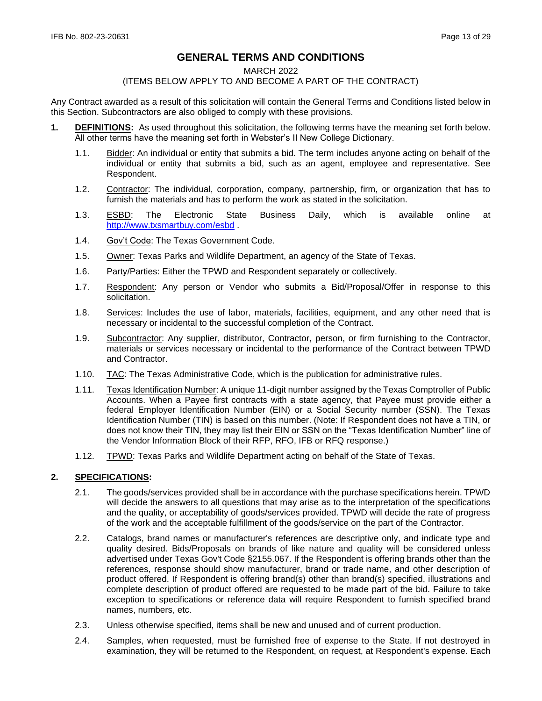# **GENERAL TERMS AND CONDITIONS**

#### MARCH 2022

#### (ITEMS BELOW APPLY TO AND BECOME A PART OF THE CONTRACT)

Any Contract awarded as a result of this solicitation will contain the General Terms and Conditions listed below in this Section. Subcontractors are also obliged to comply with these provisions.

- **1. DEFINITIONS:** As used throughout this solicitation, the following terms have the meaning set forth below. All other terms have the meaning set forth in Webster's II New College Dictionary.
	- 1.1. Bidder: An individual or entity that submits a bid. The term includes anyone acting on behalf of the individual or entity that submits a bid, such as an agent, employee and representative. See Respondent.
	- 1.2. Contractor: The individual, corporation, company, partnership, firm, or organization that has to furnish the materials and has to perform the work as stated in the solicitation.
	- 1.3. ESBD: The Electronic State Business Daily, which is available online at <http://www.txsmartbuy.com/esbd> .
	- 1.4. Gov't Code: The Texas Government Code.
	- 1.5. Owner: Texas Parks and Wildlife Department, an agency of the State of Texas.
	- 1.6. Party/Parties: Either the TPWD and Respondent separately or collectively.
	- 1.7. Respondent: Any person or Vendor who submits a Bid/Proposal/Offer in response to this solicitation.
	- 1.8. Services: Includes the use of labor, materials, facilities, equipment, and any other need that is necessary or incidental to the successful completion of the Contract.
	- 1.9. Subcontractor: Any supplier, distributor, Contractor, person, or firm furnishing to the Contractor, materials or services necessary or incidental to the performance of the Contract between TPWD and Contractor.
	- 1.10. TAC: The Texas Administrative Code, which is the publication for administrative rules.
	- 1.11. Texas Identification Number: A unique 11-digit number assigned by the Texas Comptroller of Public Accounts. When a Payee first contracts with a state agency, that Payee must provide either a federal Employer Identification Number (EIN) or a Social Security number (SSN). The Texas Identification Number (TIN) is based on this number. (Note: If Respondent does not have a TIN, or does not know their TIN, they may list their EIN or SSN on the "Texas Identification Number" line of the Vendor Information Block of their RFP, RFO, IFB or RFQ response.)
	- 1.12. TPWD: Texas Parks and Wildlife Department acting on behalf of the State of Texas.

### **2. SPECIFICATIONS:**

- 2.1. The goods/services provided shall be in accordance with the purchase specifications herein. TPWD will decide the answers to all questions that may arise as to the interpretation of the specifications and the quality, or acceptability of goods/services provided. TPWD will decide the rate of progress of the work and the acceptable fulfillment of the goods/service on the part of the Contractor.
- 2.2. Catalogs, brand names or manufacturer's references are descriptive only, and indicate type and quality desired. Bids/Proposals on brands of like nature and quality will be considered unless advertised under Texas Gov't Code §2155.067. If the Respondent is offering brands other than the references, response should show manufacturer, brand or trade name, and other description of product offered. If Respondent is offering brand(s) other than brand(s) specified, illustrations and complete description of product offered are requested to be made part of the bid. Failure to take exception to specifications or reference data will require Respondent to furnish specified brand names, numbers, etc.
- 2.3. Unless otherwise specified, items shall be new and unused and of current production.
- 2.4. Samples, when requested, must be furnished free of expense to the State. If not destroyed in examination, they will be returned to the Respondent, on request, at Respondent's expense. Each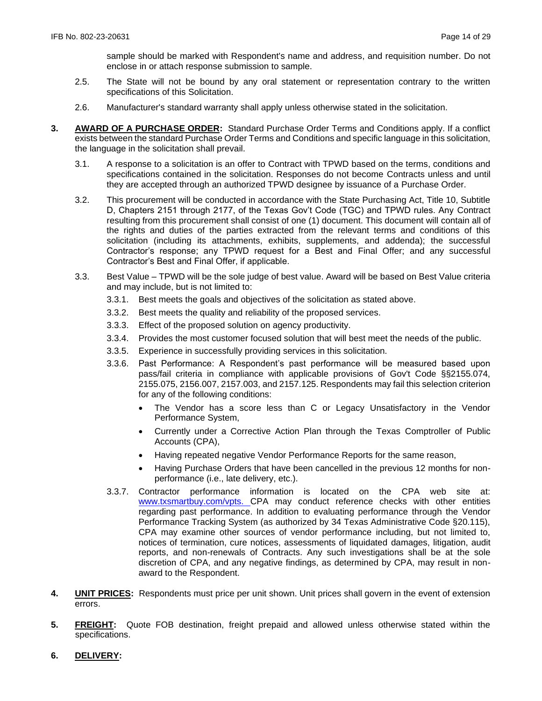sample should be marked with Respondent's name and address, and requisition number. Do not enclose in or attach response submission to sample.

- 2.5. The State will not be bound by any oral statement or representation contrary to the written specifications of this Solicitation.
- 2.6. Manufacturer's standard warranty shall apply unless otherwise stated in the solicitation.
- **3. AWARD OF A PURCHASE ORDER:** Standard Purchase Order Terms and Conditions apply. If a conflict exists between the standard Purchase Order Terms and Conditions and specific language in this solicitation, the language in the solicitation shall prevail.
	- 3.1. A response to a solicitation is an offer to Contract with TPWD based on the terms, conditions and specifications contained in the solicitation. Responses do not become Contracts unless and until they are accepted through an authorized TPWD designee by issuance of a Purchase Order.
	- 3.2. This procurement will be conducted in accordance with the State Purchasing Act, Title 10, Subtitle D, Chapters 2151 through 2177, of the Texas Gov't Code (TGC) and TPWD rules. Any Contract resulting from this procurement shall consist of one (1) document. This document will contain all of the rights and duties of the parties extracted from the relevant terms and conditions of this solicitation (including its attachments, exhibits, supplements, and addenda); the successful Contractor's response; any TPWD request for a Best and Final Offer; and any successful Contractor's Best and Final Offer, if applicable.
	- 3.3. Best Value TPWD will be the sole judge of best value. Award will be based on Best Value criteria and may include, but is not limited to:
		- 3.3.1. Best meets the goals and objectives of the solicitation as stated above.
		- 3.3.2. Best meets the quality and reliability of the proposed services.
		- 3.3.3. Effect of the proposed solution on agency productivity.
		- 3.3.4. Provides the most customer focused solution that will best meet the needs of the public.
		- 3.3.5. Experience in successfully providing services in this solicitation.
		- 3.3.6. Past Performance: A Respondent's past performance will be measured based upon pass/fail criteria in compliance with applicable provisions of Gov't Code §§2155.074, 2155.075, 2156.007, 2157.003, and 2157.125. Respondents may fail this selection criterion for any of the following conditions:
			- The Vendor has a score less than C or Legacy Unsatisfactory in the Vendor Performance System,
			- Currently under a Corrective Action Plan through the Texas Comptroller of Public Accounts (CPA),
			- Having repeated negative Vendor Performance Reports for the same reason,
			- Having Purchase Orders that have been cancelled in the previous 12 months for nonperformance (i.e., late delivery, etc.).
		- 3.3.7. Contractor performance information is located on the CPA web site at: [www.txsmartbuy.com/vpts.](http://www.txsmartbuy.com/vpts) CPA may conduct reference checks with other entities regarding past performance. In addition to evaluating performance through the Vendor Performance Tracking System (as authorized by 34 Texas Administrative Code §20.115), CPA may examine other sources of vendor performance including, but not limited to, notices of termination, cure notices, assessments of liquidated damages, litigation, audit reports, and non-renewals of Contracts. Any such investigations shall be at the sole discretion of CPA, and any negative findings, as determined by CPA, may result in nonaward to the Respondent.
- **4. UNIT PRICES:** Respondents must price per unit shown. Unit prices shall govern in the event of extension errors.
- **5. FREIGHT:** Quote FOB destination, freight prepaid and allowed unless otherwise stated within the specifications.
- **6. DELIVERY:**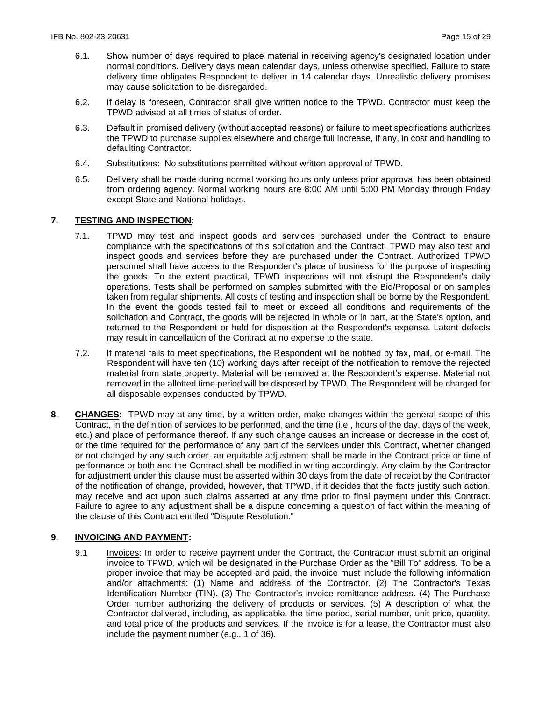- 6.1. Show number of days required to place material in receiving agency's designated location under normal conditions. Delivery days mean calendar days, unless otherwise specified. Failure to state delivery time obligates Respondent to deliver in 14 calendar days. Unrealistic delivery promises may cause solicitation to be disregarded.
- 6.2. If delay is foreseen, Contractor shall give written notice to the TPWD. Contractor must keep the TPWD advised at all times of status of order.
- 6.3. Default in promised delivery (without accepted reasons) or failure to meet specifications authorizes the TPWD to purchase supplies elsewhere and charge full increase, if any, in cost and handling to defaulting Contractor.
- 6.4. Substitutions: No substitutions permitted without written approval of TPWD.
- 6.5. Delivery shall be made during normal working hours only unless prior approval has been obtained from ordering agency. Normal working hours are 8:00 AM until 5:00 PM Monday through Friday except State and National holidays.

### **7. TESTING AND INSPECTION:**

- 7.1. TPWD may test and inspect goods and services purchased under the Contract to ensure compliance with the specifications of this solicitation and the Contract. TPWD may also test and inspect goods and services before they are purchased under the Contract. Authorized TPWD personnel shall have access to the Respondent's place of business for the purpose of inspecting the goods. To the extent practical, TPWD inspections will not disrupt the Respondent's daily operations. Tests shall be performed on samples submitted with the Bid/Proposal or on samples taken from regular shipments. All costs of testing and inspection shall be borne by the Respondent. In the event the goods tested fail to meet or exceed all conditions and requirements of the solicitation and Contract, the goods will be rejected in whole or in part, at the State's option, and returned to the Respondent or held for disposition at the Respondent's expense. Latent defects may result in cancellation of the Contract at no expense to the state.
- 7.2. If material fails to meet specifications, the Respondent will be notified by fax, mail, or e-mail. The Respondent will have ten (10) working days after receipt of the notification to remove the rejected material from state property. Material will be removed at the Respondent's expense. Material not removed in the allotted time period will be disposed by TPWD. The Respondent will be charged for all disposable expenses conducted by TPWD.
- **8. CHANGES:** TPWD may at any time, by a written order, make changes within the general scope of this Contract, in the definition of services to be performed, and the time (i.e., hours of the day, days of the week, etc.) and place of performance thereof. If any such change causes an increase or decrease in the cost of, or the time required for the performance of any part of the services under this Contract, whether changed or not changed by any such order, an equitable adjustment shall be made in the Contract price or time of performance or both and the Contract shall be modified in writing accordingly. Any claim by the Contractor for adjustment under this clause must be asserted within 30 days from the date of receipt by the Contractor of the notification of change, provided, however, that TPWD, if it decides that the facts justify such action, may receive and act upon such claims asserted at any time prior to final payment under this Contract. Failure to agree to any adjustment shall be a dispute concerning a question of fact within the meaning of the clause of this Contract entitled "Dispute Resolution."

# **9. INVOICING AND PAYMENT:**

9.1 Invoices: In order to receive payment under the Contract, the Contractor must submit an original invoice to TPWD, which will be designated in the Purchase Order as the "Bill To" address. To be a proper invoice that may be accepted and paid, the invoice must include the following information and/or attachments: (1) Name and address of the Contractor. (2) The Contractor's Texas Identification Number (TIN). (3) The Contractor's invoice remittance address. (4) The Purchase Order number authorizing the delivery of products or services. (5) A description of what the Contractor delivered, including, as applicable, the time period, serial number, unit price, quantity, and total price of the products and services. If the invoice is for a lease, the Contractor must also include the payment number (e.g., 1 of 36).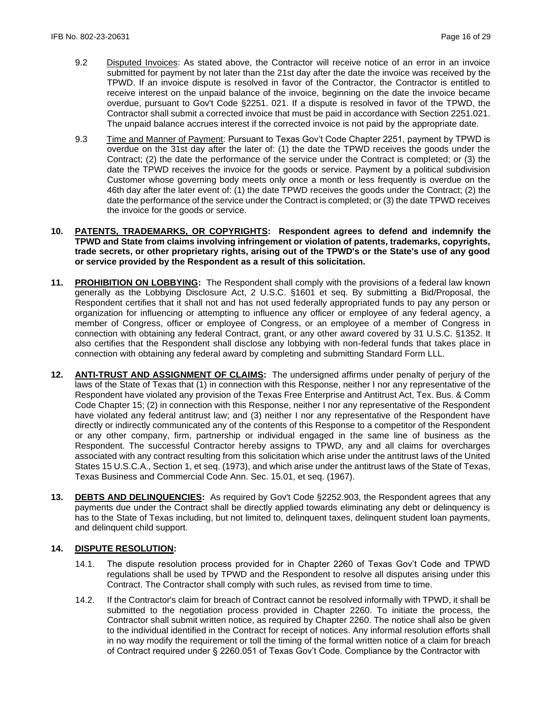- 9.2 Disputed Invoices: As stated above, the Contractor will receive notice of an error in an invoice submitted for payment by not later than the 21st day after the date the invoice was received by the TPWD. If an invoice dispute is resolved in favor of the Contractor, the Contractor is entitled to receive interest on the unpaid balance of the invoice, beginning on the date the invoice became overdue, pursuant to Gov't Code §2251. 021. If a dispute is resolved in favor of the TPWD, the Contractor shall submit a corrected invoice that must be paid in accordance with Section 2251.021. The unpaid balance accrues interest if the corrected invoice is not paid by the appropriate date.
- 9.3 Time and Manner of Payment: Pursuant to Texas Gov't Code Chapter 2251, payment by TPWD is overdue on the 31st day after the later of: (1) the date the TPWD receives the goods under the Contract; (2) the date the performance of the service under the Contract is completed; or (3) the date the TPWD receives the invoice for the goods or service. Payment by a political subdivision Customer whose governing body meets only once a month or less frequently is overdue on the 46th day after the later event of: (1) the date TPWD receives the goods under the Contract; (2) the date the performance of the service under the Contract is completed; or (3) the date TPWD receives the invoice for the goods or service.
- **10. PATENTS, TRADEMARKS, OR COPYRIGHTS: Respondent agrees to defend and indemnify the TPWD and State from claims involving infringement or violation of patents, trademarks, copyrights, trade secrets, or other proprietary rights, arising out of the TPWD's or the State's use of any good or service provided by the Respondent as a result of this solicitation.**
- **11. PROHIBITION ON LOBBYING:** The Respondent shall comply with the provisions of a federal law known generally as the Lobbying Disclosure Act, 2 U.S.C. §1601 et seq. By submitting a Bid/Proposal, the Respondent certifies that it shall not and has not used federally appropriated funds to pay any person or organization for influencing or attempting to influence any officer or employee of any federal agency, a member of Congress, officer or employee of Congress, or an employee of a member of Congress in connection with obtaining any federal Contract, grant, or any other award covered by 31 U.S.C. §1352. It also certifies that the Respondent shall disclose any lobbying with non-federal funds that takes place in connection with obtaining any federal award by completing and submitting Standard Form LLL.
- **12. ANTI-TRUST AND ASSIGNMENT OF CLAIMS:** The undersigned affirms under penalty of perjury of the laws of the State of Texas that (1) in connection with this Response, neither I nor any representative of the Respondent have violated any provision of the Texas Free Enterprise and Antitrust Act, Tex. Bus. & Comm Code Chapter 15; (2) in connection with this Response, neither I nor any representative of the Respondent have violated any federal antitrust law; and (3) neither I nor any representative of the Respondent have directly or indirectly communicated any of the contents of this Response to a competitor of the Respondent or any other company, firm, partnership or individual engaged in the same line of business as the Respondent. The successful Contractor hereby assigns to TPWD, any and all claims for overcharges associated with any contract resulting from this solicitation which arise under the antitrust laws of the United States 15 U.S.C.A., Section 1, et seq. (1973), and which arise under the antitrust laws of the State of Texas, Texas Business and Commercial Code Ann. Sec. 15.01, et seq. (1967).
- **13. DEBTS AND DELINQUENCIES:** As required by Gov't Code §2252.903, the Respondent agrees that any payments due under the Contract shall be directly applied towards eliminating any debt or delinquency is has to the State of Texas including, but not limited to, delinguent taxes, delinguent student loan payments, and delinquent child support.

### **14. DISPUTE RESOLUTION:**

- 14.1. The dispute resolution process provided for in Chapter 2260 of Texas Gov't Code and TPWD regulations shall be used by TPWD and the Respondent to resolve all disputes arising under this Contract. The Contractor shall comply with such rules, as revised from time to time.
- 14.2. If the Contractor's claim for breach of Contract cannot be resolved informally with TPWD, it shall be submitted to the negotiation process provided in Chapter 2260. To initiate the process, the Contractor shall submit written notice, as required by Chapter 2260. The notice shall also be given to the individual identified in the Contract for receipt of notices. Any informal resolution efforts shall in no way modify the requirement or toll the timing of the formal written notice of a claim for breach of Contract required under § 2260.051 of Texas Gov't Code. Compliance by the Contractor with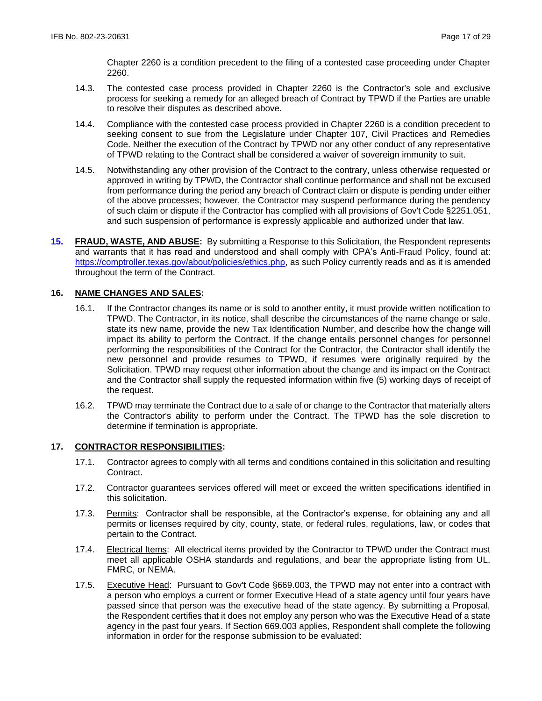Chapter 2260 is a condition precedent to the filing of a contested case proceeding under Chapter 2260.

- 14.3. The contested case process provided in Chapter 2260 is the Contractor's sole and exclusive process for seeking a remedy for an alleged breach of Contract by TPWD if the Parties are unable to resolve their disputes as described above.
- 14.4. Compliance with the contested case process provided in Chapter 2260 is a condition precedent to seeking consent to sue from the Legislature under Chapter 107, Civil Practices and Remedies Code. Neither the execution of the Contract by TPWD nor any other conduct of any representative of TPWD relating to the Contract shall be considered a waiver of sovereign immunity to suit.
- 14.5. Notwithstanding any other provision of the Contract to the contrary, unless otherwise requested or approved in writing by TPWD, the Contractor shall continue performance and shall not be excused from performance during the period any breach of Contract claim or dispute is pending under either of the above processes; however, the Contractor may suspend performance during the pendency of such claim or dispute if the Contractor has complied with all provisions of Gov't Code §2251.051, and such suspension of performance is expressly applicable and authorized under that law.
- **15. FRAUD, WASTE, AND ABUSE:** By submitting a Response to this Solicitation, the Respondent represents and warrants that it has read and understood and shall comply with CPA's Anti-Fraud Policy, found at: https://comptroller.texas.gov/about/policies/ethics.php, as such Policy currently reads and as it is amended throughout the term of the Contract.

### **16. NAME CHANGES AND SALES:**

- 16.1. If the Contractor changes its name or is sold to another entity, it must provide written notification to TPWD. The Contractor, in its notice, shall describe the circumstances of the name change or sale, state its new name, provide the new Tax Identification Number, and describe how the change will impact its ability to perform the Contract. If the change entails personnel changes for personnel performing the responsibilities of the Contract for the Contractor, the Contractor shall identify the new personnel and provide resumes to TPWD, if resumes were originally required by the Solicitation. TPWD may request other information about the change and its impact on the Contract and the Contractor shall supply the requested information within five (5) working days of receipt of the request.
- 16.2. TPWD may terminate the Contract due to a sale of or change to the Contractor that materially alters the Contractor's ability to perform under the Contract. The TPWD has the sole discretion to determine if termination is appropriate.

#### **17. CONTRACTOR RESPONSIBILITIES:**

- 17.1. Contractor agrees to comply with all terms and conditions contained in this solicitation and resulting Contract.
- 17.2. Contractor guarantees services offered will meet or exceed the written specifications identified in this solicitation.
- 17.3. Permits: Contractor shall be responsible, at the Contractor's expense, for obtaining any and all permits or licenses required by city, county, state, or federal rules, regulations, law, or codes that pertain to the Contract.
- 17.4. Electrical Items: All electrical items provided by the Contractor to TPWD under the Contract must meet all applicable OSHA standards and regulations, and bear the appropriate listing from UL, FMRC, or NEMA.
- 17.5. Executive Head: Pursuant to Gov't Code §669.003, the TPWD may not enter into a contract with a person who employs a current or former Executive Head of a state agency until four years have passed since that person was the executive head of the state agency. By submitting a Proposal, the Respondent certifies that it does not employ any person who was the Executive Head of a state agency in the past four years. If Section 669.003 applies, Respondent shall complete the following information in order for the response submission to be evaluated: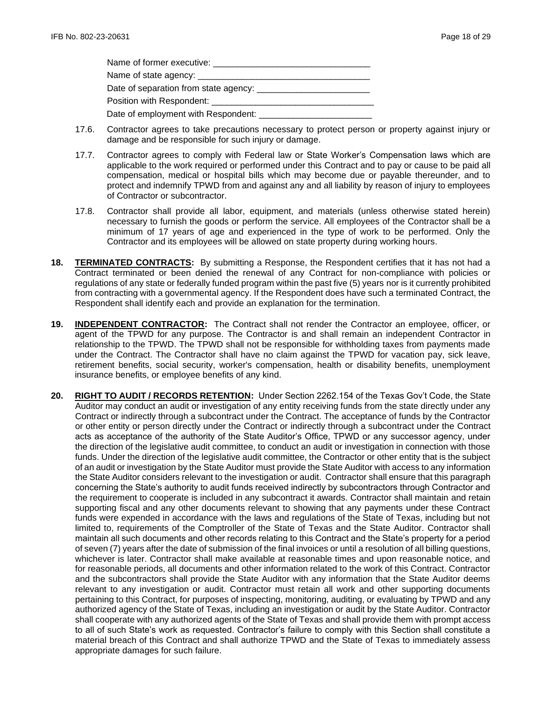| Name of former executive: Name of former executive: |
|-----------------------------------------------------|
|                                                     |
|                                                     |
| Position with Respondent: _______________           |
|                                                     |

- 17.6. Contractor agrees to take precautions necessary to protect person or property against injury or damage and be responsible for such injury or damage.
- 17.7. Contractor agrees to comply with Federal law or State Worker's Compensation laws which are applicable to the work required or performed under this Contract and to pay or cause to be paid all compensation, medical or hospital bills which may become due or payable thereunder, and to protect and indemnify TPWD from and against any and all liability by reason of injury to employees of Contractor or subcontractor.
- 17.8. Contractor shall provide all labor, equipment, and materials (unless otherwise stated herein) necessary to furnish the goods or perform the service. All employees of the Contractor shall be a minimum of 17 years of age and experienced in the type of work to be performed. Only the Contractor and its employees will be allowed on state property during working hours.
- **18. TERMINATED CONTRACTS:** By submitting a Response, the Respondent certifies that it has not had a Contract terminated or been denied the renewal of any Contract for non-compliance with policies or regulations of any state or federally funded program within the past five (5) years nor is it currently prohibited from contracting with a governmental agency. If the Respondent does have such a terminated Contract, the Respondent shall identify each and provide an explanation for the termination.
- **19. INDEPENDENT CONTRACTOR:** The Contract shall not render the Contractor an employee, officer, or agent of the TPWD for any purpose. The Contractor is and shall remain an independent Contractor in relationship to the TPWD. The TPWD shall not be responsible for withholding taxes from payments made under the Contract. The Contractor shall have no claim against the TPWD for vacation pay, sick leave, retirement benefits, social security, worker's compensation, health or disability benefits, unemployment insurance benefits, or employee benefits of any kind.
- **20. RIGHT TO AUDIT / RECORDS RETENTION:** Under Section 2262.154 of the Texas Gov't Code, the State Auditor may conduct an audit or investigation of any entity receiving funds from the state directly under any Contract or indirectly through a subcontract under the Contract. The acceptance of funds by the Contractor or other entity or person directly under the Contract or indirectly through a subcontract under the Contract acts as acceptance of the authority of the State Auditor's Office, TPWD or any successor agency, under the direction of the legislative audit committee, to conduct an audit or investigation in connection with those funds. Under the direction of the legislative audit committee, the Contractor or other entity that is the subject of an audit or investigation by the State Auditor must provide the State Auditor with access to any information the State Auditor considers relevant to the investigation or audit. Contractor shall ensure that this paragraph concerning the State's authority to audit funds received indirectly by subcontractors through Contractor and the requirement to cooperate is included in any subcontract it awards. Contractor shall maintain and retain supporting fiscal and any other documents relevant to showing that any payments under these Contract funds were expended in accordance with the laws and regulations of the State of Texas, including but not limited to, requirements of the Comptroller of the State of Texas and the State Auditor. Contractor shall maintain all such documents and other records relating to this Contract and the State's property for a period of seven (7) years after the date of submission of the final invoices or until a resolution of all billing questions, whichever is later. Contractor shall make available at reasonable times and upon reasonable notice, and for reasonable periods, all documents and other information related to the work of this Contract. Contractor and the subcontractors shall provide the State Auditor with any information that the State Auditor deems relevant to any investigation or audit. Contractor must retain all work and other supporting documents pertaining to this Contract, for purposes of inspecting, monitoring, auditing, or evaluating by TPWD and any authorized agency of the State of Texas, including an investigation or audit by the State Auditor. Contractor shall cooperate with any authorized agents of the State of Texas and shall provide them with prompt access to all of such State's work as requested. Contractor's failure to comply with this Section shall constitute a material breach of this Contract and shall authorize TPWD and the State of Texas to immediately assess appropriate damages for such failure.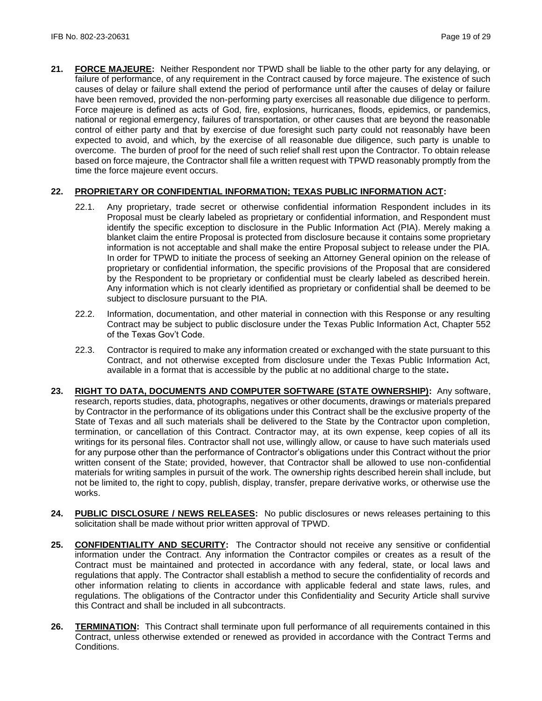**21. FORCE MAJEURE:** Neither Respondent nor TPWD shall be liable to the other party for any delaying, or failure of performance, of any requirement in the Contract caused by force majeure. The existence of such causes of delay or failure shall extend the period of performance until after the causes of delay or failure have been removed, provided the non-performing party exercises all reasonable due diligence to perform. Force majeure is defined as acts of God, fire, explosions, hurricanes, floods, epidemics, or pandemics, national or regional emergency, failures of transportation, or other causes that are beyond the reasonable control of either party and that by exercise of due foresight such party could not reasonably have been expected to avoid, and which, by the exercise of all reasonable due diligence, such party is unable to overcome. The burden of proof for the need of such relief shall rest upon the Contractor. To obtain release based on force majeure, the Contractor shall file a written request with TPWD reasonably promptly from the time the force majeure event occurs.

# **22. PROPRIETARY OR CONFIDENTIAL INFORMATION; TEXAS PUBLIC INFORMATION ACT:**

- 22.1. Any proprietary, trade secret or otherwise confidential information Respondent includes in its Proposal must be clearly labeled as proprietary or confidential information, and Respondent must identify the specific exception to disclosure in the Public Information Act (PIA). Merely making a blanket claim the entire Proposal is protected from disclosure because it contains some proprietary information is not acceptable and shall make the entire Proposal subject to release under the PIA. In order for TPWD to initiate the process of seeking an Attorney General opinion on the release of proprietary or confidential information, the specific provisions of the Proposal that are considered by the Respondent to be proprietary or confidential must be clearly labeled as described herein. Any information which is not clearly identified as proprietary or confidential shall be deemed to be subject to disclosure pursuant to the PIA.
- 22.2. Information, documentation, and other material in connection with this Response or any resulting Contract may be subject to public disclosure under the Texas Public Information Act, Chapter 552 of the Texas Gov't Code.
- 22.3. Contractor is required to make any information created or exchanged with the state pursuant to this Contract, and not otherwise excepted from disclosure under the Texas Public Information Act, available in a format that is accessible by the public at no additional charge to the state**.**
- **23. RIGHT TO DATA, DOCUMENTS AND COMPUTER SOFTWARE (STATE OWNERSHIP):** Any software, research, reports studies, data, photographs, negatives or other documents, drawings or materials prepared by Contractor in the performance of its obligations under this Contract shall be the exclusive property of the State of Texas and all such materials shall be delivered to the State by the Contractor upon completion, termination, or cancellation of this Contract. Contractor may, at its own expense, keep copies of all its writings for its personal files. Contractor shall not use, willingly allow, or cause to have such materials used for any purpose other than the performance of Contractor's obligations under this Contract without the prior written consent of the State; provided, however, that Contractor shall be allowed to use non-confidential materials for writing samples in pursuit of the work. The ownership rights described herein shall include, but not be limited to, the right to copy, publish, display, transfer, prepare derivative works, or otherwise use the works.
- **24. PUBLIC DISCLOSURE / NEWS RELEASES:** No public disclosures or news releases pertaining to this solicitation shall be made without prior written approval of TPWD.
- **25. CONFIDENTIALITY AND SECURITY:** The Contractor should not receive any sensitive or confidential information under the Contract. Any information the Contractor compiles or creates as a result of the Contract must be maintained and protected in accordance with any federal, state, or local laws and regulations that apply. The Contractor shall establish a method to secure the confidentiality of records and other information relating to clients in accordance with applicable federal and state laws, rules, and regulations. The obligations of the Contractor under this Confidentiality and Security Article shall survive this Contract and shall be included in all subcontracts.
- **26. TERMINATION:** This Contract shall terminate upon full performance of all requirements contained in this Contract, unless otherwise extended or renewed as provided in accordance with the Contract Terms and Conditions.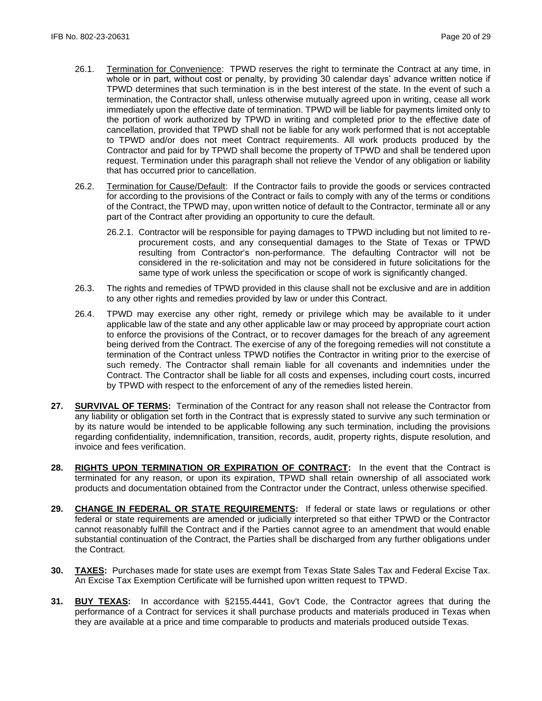- 26.1. Termination for Convenience: TPWD reserves the right to terminate the Contract at any time, in whole or in part, without cost or penalty, by providing 30 calendar days' advance written notice if TPWD determines that such termination is in the best interest of the state. In the event of such a termination, the Contractor shall, unless otherwise mutually agreed upon in writing, cease all work immediately upon the effective date of termination. TPWD will be liable for payments limited only to the portion of work authorized by TPWD in writing and completed prior to the effective date of cancellation, provided that TPWD shall not be liable for any work performed that is not acceptable to TPWD and/or does not meet Contract requirements. All work products produced by the Contractor and paid for by TPWD shall become the property of TPWD and shall be tendered upon request. Termination under this paragraph shall not relieve the Vendor of any obligation or liability that has occurred prior to cancellation.
- 26.2. Termination for Cause/Default: If the Contractor fails to provide the goods or services contracted for according to the provisions of the Contract or fails to comply with any of the terms or conditions of the Contract, the TPWD may, upon written notice of default to the Contractor, terminate all or any part of the Contract after providing an opportunity to cure the default.
	- 26.2.1. Contractor will be responsible for paying damages to TPWD including but not limited to reprocurement costs, and any consequential damages to the State of Texas or TPWD resulting from Contractor's non-performance. The defaulting Contractor will not be considered in the re-solicitation and may not be considered in future solicitations for the same type of work unless the specification or scope of work is significantly changed.
- 26.3. The rights and remedies of TPWD provided in this clause shall not be exclusive and are in addition to any other rights and remedies provided by law or under this Contract.
- 26.4. TPWD may exercise any other right, remedy or privilege which may be available to it under applicable law of the state and any other applicable law or may proceed by appropriate court action to enforce the provisions of the Contract, or to recover damages for the breach of any agreement being derived from the Contract. The exercise of any of the foregoing remedies will not constitute a termination of the Contract unless TPWD notifies the Contractor in writing prior to the exercise of such remedy. The Contractor shall remain liable for all covenants and indemnities under the Contract. The Contractor shall be liable for all costs and expenses, including court costs, incurred by TPWD with respect to the enforcement of any of the remedies listed herein.
- **27. SURVIVAL OF TERMS:** Termination of the Contract for any reason shall not release the Contractor from any liability or obligation set forth in the Contract that is expressly stated to survive any such termination or by its nature would be intended to be applicable following any such termination, including the provisions regarding confidentiality, indemnification, transition, records, audit, property rights, dispute resolution, and invoice and fees verification.
- **28. RIGHTS UPON TERMINATION OR EXPIRATION OF CONTRACT:** In the event that the Contract is terminated for any reason, or upon its expiration, TPWD shall retain ownership of all associated work products and documentation obtained from the Contractor under the Contract, unless otherwise specified.
- **29. CHANGE IN FEDERAL OR STATE REQUIREMENTS:** If federal or state laws or regulations or other federal or state requirements are amended or judicially interpreted so that either TPWD or the Contractor cannot reasonably fulfill the Contract and if the Parties cannot agree to an amendment that would enable substantial continuation of the Contract, the Parties shall be discharged from any further obligations under the Contract.
- **30. TAXES:** Purchases made for state uses are exempt from Texas State Sales Tax and Federal Excise Tax. An Excise Tax Exemption Certificate will be furnished upon written request to TPWD.
- **31. BUY TEXAS:** In accordance with §2155.4441, Gov't Code, the Contractor agrees that during the performance of a Contract for services it shall purchase products and materials produced in Texas when they are available at a price and time comparable to products and materials produced outside Texas.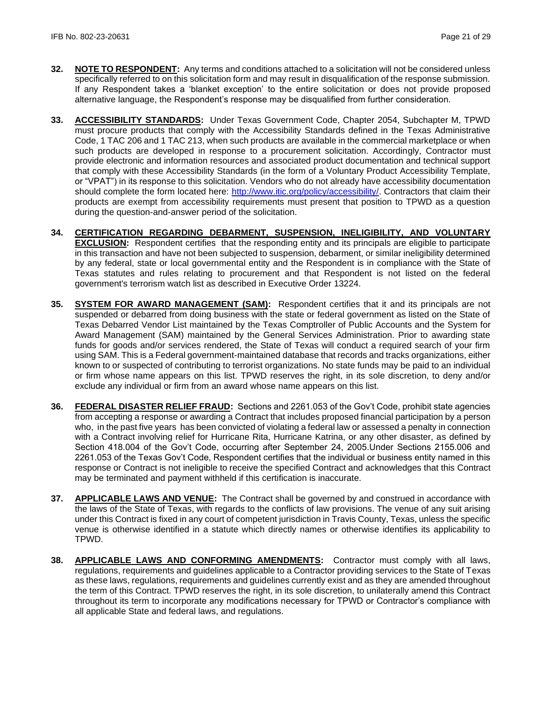- **32. NOTE TO RESPONDENT:** Any terms and conditions attached to a solicitation will not be considered unless specifically referred to on this solicitation form and may result in disqualification of the response submission. If any Respondent takes a 'blanket exception' to the entire solicitation or does not provide proposed alternative language, the Respondent's response may be disqualified from further consideration.
- **33. ACCESSIBILITY STANDARDS:** Under Texas Government Code, Chapter 2054, Subchapter M, TPWD must procure products that comply with the Accessibility Standards defined in the Texas Administrative Code, 1 TAC 206 and 1 TAC 213, when such products are available in the commercial marketplace or when such products are developed in response to a procurement solicitation. Accordingly, Contractor must provide electronic and information resources and associated product documentation and technical support that comply with these Accessibility Standards (in the form of a Voluntary Product Accessibility Template, or "VPAT") in its response to this solicitation. Vendors who do not already have accessibility documentation should complete the form located here: [http://www.itic.org/policy/accessibility/.](http://www.itic.org/policy/accessibility/) Contractors that claim their products are exempt from accessibility requirements must present that position to TPWD as a question during the question-and-answer period of the solicitation.
- **34. CERTIFICATION REGARDING DEBARMENT, SUSPENSION, INELIGIBILITY, AND VOLUNTARY EXCLUSION:** Respondent certifies that the responding entity and its principals are eligible to participate in this transaction and have not been subjected to suspension, debarment, or similar ineligibility determined by any federal, state or local governmental entity and the Respondent is in compliance with the State of Texas statutes and rules relating to procurement and that Respondent is not listed on the federal government's terrorism watch list as described in Executive Order 13224.
- **35. SYSTEM FOR AWARD MANAGEMENT (SAM):** Respondent certifies that it and its principals are not suspended or debarred from doing business with the state or federal government as listed on the State of Texas Debarred Vendor List maintained by the Texas Comptroller of Public Accounts and the System for Award Management (SAM) maintained by the General Services Administration. Prior to awarding state funds for goods and/or services rendered, the State of Texas will conduct a required search of your firm using SAM. This is a Federal government-maintained database that records and tracks organizations, either known to or suspected of contributing to terrorist organizations. No state funds may be paid to an individual or firm whose name appears on this list. TPWD reserves the right, in its sole discretion, to deny and/or exclude any individual or firm from an award whose name appears on this list.
- **36. FEDERAL DISASTER RELIEF FRAUD:** Sections and 2261.053 of the Gov't Code, prohibit state agencies from accepting a response or awarding a Contract that includes proposed financial participation by a person who, in the past five years has been convicted of violating a federal law or assessed a penalty in connection with a Contract involving relief for Hurricane Rita, Hurricane Katrina, or any other disaster, as defined by Section 418.004 of the Gov't Code, occurring after September 24, 2005.Under Sections 2155.006 and 2261.053 of the Texas Gov't Code, Respondent certifies that the individual or business entity named in this response or Contract is not ineligible to receive the specified Contract and acknowledges that this Contract may be terminated and payment withheld if this certification is inaccurate.
- **37. APPLICABLE LAWS AND VENUE:** The Contract shall be governed by and construed in accordance with the laws of the State of Texas, with regards to the conflicts of law provisions. The venue of any suit arising under this Contract is fixed in any court of competent jurisdiction in Travis County, Texas, unless the specific venue is otherwise identified in a statute which directly names or otherwise identifies its applicability to TPWD.
- **38. APPLICABLE LAWS AND CONFORMING AMENDMENTS:** Contractor must comply with all laws, regulations, requirements and guidelines applicable to a Contractor providing services to the State of Texas as these laws, regulations, requirements and guidelines currently exist and as they are amended throughout the term of this Contract. TPWD reserves the right, in its sole discretion, to unilaterally amend this Contract throughout its term to incorporate any modifications necessary for TPWD or Contractor's compliance with all applicable State and federal laws, and regulations.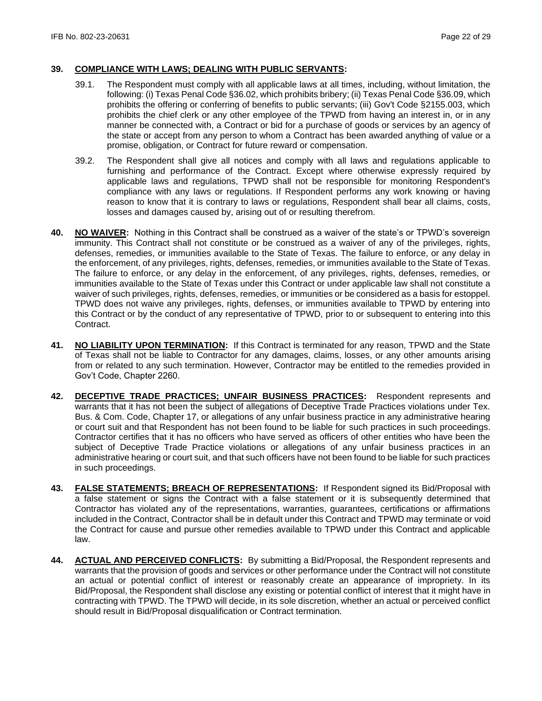### **39. COMPLIANCE WITH LAWS; DEALING WITH PUBLIC SERVANTS:**

- 39.1. The Respondent must comply with all applicable laws at all times, including, without limitation, the following: (i) Texas Penal Code §36.02, which prohibits bribery; (ii) Texas Penal Code §36.09, which prohibits the offering or conferring of benefits to public servants; (iii) Gov't Code §2155.003, which prohibits the chief clerk or any other employee of the TPWD from having an interest in, or in any manner be connected with, a Contract or bid for a purchase of goods or services by an agency of the state or accept from any person to whom a Contract has been awarded anything of value or a promise, obligation, or Contract for future reward or compensation.
- 39.2. The Respondent shall give all notices and comply with all laws and regulations applicable to furnishing and performance of the Contract. Except where otherwise expressly required by applicable laws and regulations, TPWD shall not be responsible for monitoring Respondent's compliance with any laws or regulations. If Respondent performs any work knowing or having reason to know that it is contrary to laws or regulations, Respondent shall bear all claims, costs, losses and damages caused by, arising out of or resulting therefrom.
- **40. NO WAIVER:** Nothing in this Contract shall be construed as a waiver of the state's or TPWD's sovereign immunity. This Contract shall not constitute or be construed as a waiver of any of the privileges, rights, defenses, remedies, or immunities available to the State of Texas. The failure to enforce, or any delay in the enforcement, of any privileges, rights, defenses, remedies, or immunities available to the State of Texas. The failure to enforce, or any delay in the enforcement, of any privileges, rights, defenses, remedies, or immunities available to the State of Texas under this Contract or under applicable law shall not constitute a waiver of such privileges, rights, defenses, remedies, or immunities or be considered as a basis for estoppel. TPWD does not waive any privileges, rights, defenses, or immunities available to TPWD by entering into this Contract or by the conduct of any representative of TPWD, prior to or subsequent to entering into this Contract.
- **41. NO LIABILITY UPON TERMINATION:** If this Contract is terminated for any reason, TPWD and the State of Texas shall not be liable to Contractor for any damages, claims, losses, or any other amounts arising from or related to any such termination. However, Contractor may be entitled to the remedies provided in Gov't Code, Chapter 2260.
- **42. DECEPTIVE TRADE PRACTICES; UNFAIR BUSINESS PRACTICES:** Respondent represents and warrants that it has not been the subject of allegations of Deceptive Trade Practices violations under Tex. Bus. & Com. Code, Chapter 17, or allegations of any unfair business practice in any administrative hearing or court suit and that Respondent has not been found to be liable for such practices in such proceedings. Contractor certifies that it has no officers who have served as officers of other entities who have been the subject of Deceptive Trade Practice violations or allegations of any unfair business practices in an administrative hearing or court suit, and that such officers have not been found to be liable for such practices in such proceedings.
- **43. FALSE STATEMENTS; BREACH OF REPRESENTATIONS:** If Respondent signed its Bid/Proposal with a false statement or signs the Contract with a false statement or it is subsequently determined that Contractor has violated any of the representations, warranties, guarantees, certifications or affirmations included in the Contract, Contractor shall be in default under this Contract and TPWD may terminate or void the Contract for cause and pursue other remedies available to TPWD under this Contract and applicable law.
- **44. ACTUAL AND PERCEIVED CONFLICTS:** By submitting a Bid/Proposal, the Respondent represents and warrants that the provision of goods and services or other performance under the Contract will not constitute an actual or potential conflict of interest or reasonably create an appearance of impropriety. In its Bid/Proposal, the Respondent shall disclose any existing or potential conflict of interest that it might have in contracting with TPWD. The TPWD will decide, in its sole discretion, whether an actual or perceived conflict should result in Bid/Proposal disqualification or Contract termination.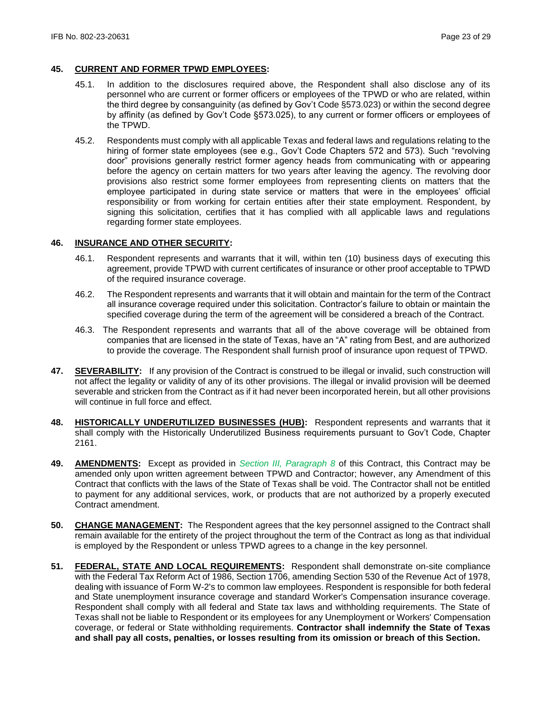### **45. CURRENT AND FORMER TPWD EMPLOYEES:**

- 45.1. In addition to the disclosures required above, the Respondent shall also disclose any of its personnel who are current or former officers or employees of the TPWD or who are related, within the third degree by consanguinity (as defined by Gov't Code §573.023) or within the second degree by affinity (as defined by Gov't Code §573.025), to any current or former officers or employees of the TPWD.
- 45.2. Respondents must comply with all applicable Texas and federal laws and regulations relating to the hiring of former state employees (see e.g., Gov't Code Chapters 572 and 573). Such "revolving door" provisions generally restrict former agency heads from communicating with or appearing before the agency on certain matters for two years after leaving the agency. The revolving door provisions also restrict some former employees from representing clients on matters that the employee participated in during state service or matters that were in the employees' official responsibility or from working for certain entities after their state employment. Respondent, by signing this solicitation, certifies that it has complied with all applicable laws and regulations regarding former state employees.

#### **46. INSURANCE AND OTHER SECURITY:**

- 46.1. Respondent represents and warrants that it will, within ten (10) business days of executing this agreement, provide TPWD with current certificates of insurance or other proof acceptable to TPWD of the required insurance coverage.
- 46.2. The Respondent represents and warrants that it will obtain and maintain for the term of the Contract all insurance coverage required under this solicitation. Contractor's failure to obtain or maintain the specified coverage during the term of the agreement will be considered a breach of the Contract.
- 46.3. The Respondent represents and warrants that all of the above coverage will be obtained from companies that are licensed in the state of Texas, have an "A" rating from Best, and are authorized to provide the coverage. The Respondent shall furnish proof of insurance upon request of TPWD.
- **47. SEVERABILITY:** If any provision of the Contract is construed to be illegal or invalid, such construction will not affect the legality or validity of any of its other provisions. The illegal or invalid provision will be deemed severable and stricken from the Contract as if it had never been incorporated herein, but all other provisions will continue in full force and effect.
- **48. HISTORICALLY UNDERUTILIZED BUSINESSES (HUB):** Respondent represents and warrants that it shall comply with the Historically Underutilized Business requirements pursuant to Gov't Code, Chapter 2161.
- **49. AMENDMENTS:** Except as provided in *Section III, Paragraph 8* of this Contract, this Contract may be amended only upon written agreement between TPWD and Contractor; however, any Amendment of this Contract that conflicts with the laws of the State of Texas shall be void. The Contractor shall not be entitled to payment for any additional services, work, or products that are not authorized by a properly executed Contract amendment.
- **50. CHANGE MANAGEMENT:** The Respondent agrees that the key personnel assigned to the Contract shall remain available for the entirety of the project throughout the term of the Contract as long as that individual is employed by the Respondent or unless TPWD agrees to a change in the key personnel.
- **51. FEDERAL, STATE AND LOCAL REQUIREMENTS:** Respondent shall demonstrate on-site compliance with the Federal Tax Reform Act of 1986, Section 1706, amending Section 530 of the Revenue Act of 1978, dealing with issuance of Form W-2's to common law employees. Respondent is responsible for both federal and State unemployment insurance coverage and standard Worker's Compensation insurance coverage. Respondent shall comply with all federal and State tax laws and withholding requirements. The State of Texas shall not be liable to Respondent or its employees for any Unemployment or Workers' Compensation coverage, or federal or State withholding requirements. **Contractor shall indemnify the State of Texas and shall pay all costs, penalties, or losses resulting from its omission or breach of this Section.**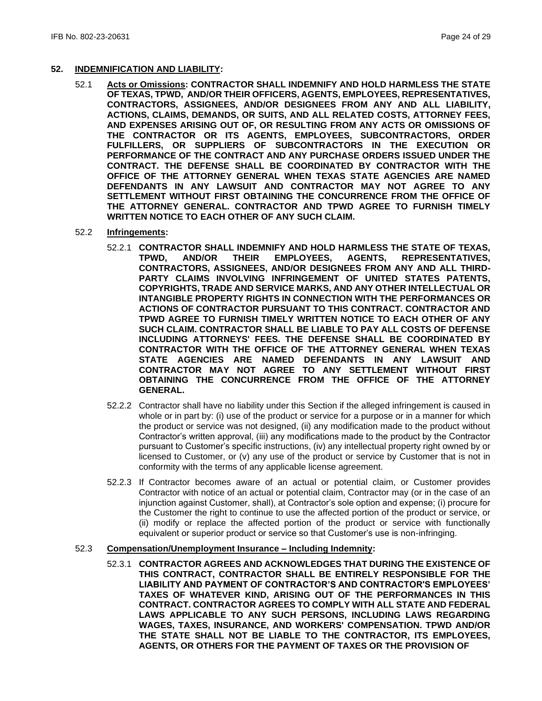#### **52. INDEMNIFICATION AND LIABILITY:**

52.1 **Acts or Omissions: CONTRACTOR SHALL INDEMNIFY AND HOLD HARMLESS THE STATE OF TEXAS, TPWD, AND/OR THEIR OFFICERS, AGENTS, EMPLOYEES, REPRESENTATIVES, CONTRACTORS, ASSIGNEES, AND/OR DESIGNEES FROM ANY AND ALL LIABILITY, ACTIONS, CLAIMS, DEMANDS, OR SUITS, AND ALL RELATED COSTS, ATTORNEY FEES, AND EXPENSES ARISING OUT OF, OR RESULTING FROM ANY ACTS OR OMISSIONS OF THE CONTRACTOR OR ITS AGENTS, EMPLOYEES, SUBCONTRACTORS, ORDER FULFILLERS, OR SUPPLIERS OF SUBCONTRACTORS IN THE EXECUTION OR PERFORMANCE OF THE CONTRACT AND ANY PURCHASE ORDERS ISSUED UNDER THE CONTRACT. THE DEFENSE SHALL BE COORDINATED BY CONTRACTOR WITH THE OFFICE OF THE ATTORNEY GENERAL WHEN TEXAS STATE AGENCIES ARE NAMED DEFENDANTS IN ANY LAWSUIT AND CONTRACTOR MAY NOT AGREE TO ANY SETTLEMENT WITHOUT FIRST OBTAINING THE CONCURRENCE FROM THE OFFICE OF THE ATTORNEY GENERAL. CONTRACTOR AND TPWD AGREE TO FURNISH TIMELY WRITTEN NOTICE TO EACH OTHER OF ANY SUCH CLAIM.**

#### 52.2 **Infringements:**

- 52.2.1 **CONTRACTOR SHALL INDEMNIFY AND HOLD HARMLESS THE STATE OF TEXAS, TPWD, AND/OR THEIR EMPLOYEES, AGENTS, REPRESENTATIVES, CONTRACTORS, ASSIGNEES, AND/OR DESIGNEES FROM ANY AND ALL THIRD-PARTY CLAIMS INVOLVING INFRINGEMENT OF UNITED STATES PATENTS, COPYRIGHTS, TRADE AND SERVICE MARKS, AND ANY OTHER INTELLECTUAL OR INTANGIBLE PROPERTY RIGHTS IN CONNECTION WITH THE PERFORMANCES OR ACTIONS OF CONTRACTOR PURSUANT TO THIS CONTRACT. CONTRACTOR AND TPWD AGREE TO FURNISH TIMELY WRITTEN NOTICE TO EACH OTHER OF ANY SUCH CLAIM. CONTRACTOR SHALL BE LIABLE TO PAY ALL COSTS OF DEFENSE INCLUDING ATTORNEYS' FEES. THE DEFENSE SHALL BE COORDINATED BY CONTRACTOR WITH THE OFFICE OF THE ATTORNEY GENERAL WHEN TEXAS STATE AGENCIES ARE NAMED DEFENDANTS IN ANY LAWSUIT AND CONTRACTOR MAY NOT AGREE TO ANY SETTLEMENT WITHOUT FIRST OBTAINING THE CONCURRENCE FROM THE OFFICE OF THE ATTORNEY GENERAL.**
- 52.2.2 Contractor shall have no liability under this Section if the alleged infringement is caused in whole or in part by: (i) use of the product or service for a purpose or in a manner for which the product or service was not designed, (ii) any modification made to the product without Contractor's written approval, (iii) any modifications made to the product by the Contractor pursuant to Customer's specific instructions, (iv) any intellectual property right owned by or licensed to Customer, or (v) any use of the product or service by Customer that is not in conformity with the terms of any applicable license agreement.
- 52.2.3 If Contractor becomes aware of an actual or potential claim, or Customer provides Contractor with notice of an actual or potential claim, Contractor may (or in the case of an injunction against Customer, shall), at Contractor's sole option and expense; (i) procure for the Customer the right to continue to use the affected portion of the product or service, or (ii) modify or replace the affected portion of the product or service with functionally equivalent or superior product or service so that Customer's use is non-infringing.

#### 52.3 **Compensation/Unemployment Insurance – Including Indemnity:**

52.3.1 **CONTRACTOR AGREES AND ACKNOWLEDGES THAT DURING THE EXISTENCE OF THIS CONTRACT, CONTRACTOR SHALL BE ENTIRELY RESPONSIBLE FOR THE LIABILITY AND PAYMENT OF CONTRACTOR'S AND CONTRACTOR'S EMPLOYEES' TAXES OF WHATEVER KIND, ARISING OUT OF THE PERFORMANCES IN THIS CONTRACT. CONTRACTOR AGREES TO COMPLY WITH ALL STATE AND FEDERAL LAWS APPLICABLE TO ANY SUCH PERSONS, INCLUDING LAWS REGARDING WAGES, TAXES, INSURANCE, AND WORKERS' COMPENSATION. TPWD AND/OR THE STATE SHALL NOT BE LIABLE TO THE CONTRACTOR, ITS EMPLOYEES, AGENTS, OR OTHERS FOR THE PAYMENT OF TAXES OR THE PROVISION OF**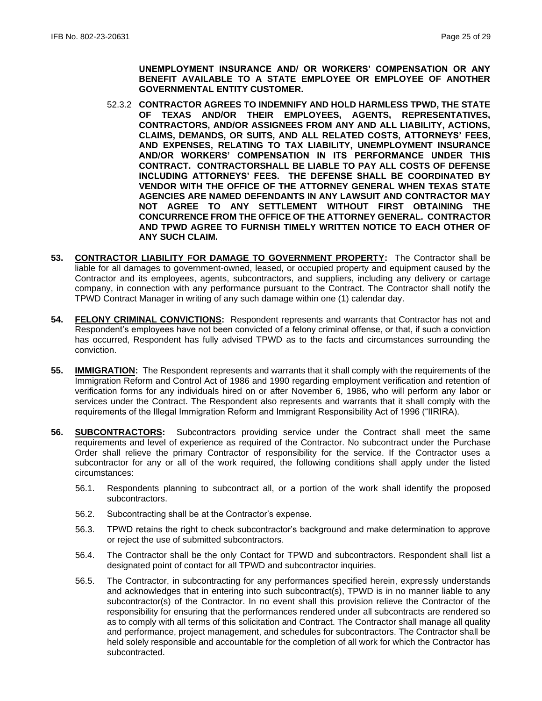**UNEMPLOYMENT INSURANCE AND/ OR WORKERS' COMPENSATION OR ANY BENEFIT AVAILABLE TO A STATE EMPLOYEE OR EMPLOYEE OF ANOTHER GOVERNMENTAL ENTITY CUSTOMER.**

- 52.3.2 **CONTRACTOR AGREES TO INDEMNIFY AND HOLD HARMLESS TPWD, THE STATE OF TEXAS AND/OR THEIR EMPLOYEES, AGENTS, REPRESENTATIVES, CONTRACTORS, AND/OR ASSIGNEES FROM ANY AND ALL LIABILITY, ACTIONS, CLAIMS, DEMANDS, OR SUITS, AND ALL RELATED COSTS, ATTORNEYS' FEES, AND EXPENSES, RELATING TO TAX LIABILITY, UNEMPLOYMENT INSURANCE AND/OR WORKERS' COMPENSATION IN ITS PERFORMANCE UNDER THIS CONTRACT. CONTRACTORSHALL BE LIABLE TO PAY ALL COSTS OF DEFENSE INCLUDING ATTORNEYS' FEES. THE DEFENSE SHALL BE COORDINATED BY VENDOR WITH THE OFFICE OF THE ATTORNEY GENERAL WHEN TEXAS STATE AGENCIES ARE NAMED DEFENDANTS IN ANY LAWSUIT AND CONTRACTOR MAY NOT AGREE TO ANY SETTLEMENT WITHOUT FIRST OBTAINING THE CONCURRENCE FROM THE OFFICE OF THE ATTORNEY GENERAL. CONTRACTOR AND TPWD AGREE TO FURNISH TIMELY WRITTEN NOTICE TO EACH OTHER OF ANY SUCH CLAIM.**
- **53. CONTRACTOR LIABILITY FOR DAMAGE TO GOVERNMENT PROPERTY:** The Contractor shall be liable for all damages to government-owned, leased, or occupied property and equipment caused by the Contractor and its employees, agents, subcontractors, and suppliers, including any delivery or cartage company, in connection with any performance pursuant to the Contract. The Contractor shall notify the TPWD Contract Manager in writing of any such damage within one (1) calendar day.
- **54. FELONY CRIMINAL CONVICTIONS:** Respondent represents and warrants that Contractor has not and Respondent's employees have not been convicted of a felony criminal offense, or that, if such a conviction has occurred, Respondent has fully advised TPWD as to the facts and circumstances surrounding the conviction.
- **55. IMMIGRATION:** The Respondent represents and warrants that it shall comply with the requirements of the Immigration Reform and Control Act of 1986 and 1990 regarding employment verification and retention of verification forms for any individuals hired on or after November 6, 1986, who will perform any labor or services under the Contract. The Respondent also represents and warrants that it shall comply with the requirements of the Illegal Immigration Reform and Immigrant Responsibility Act of 1996 ("IIRIRA).
- **56. SUBCONTRACTORS:** Subcontractors providing service under the Contract shall meet the same requirements and level of experience as required of the Contractor. No subcontract under the Purchase Order shall relieve the primary Contractor of responsibility for the service. If the Contractor uses a subcontractor for any or all of the work required, the following conditions shall apply under the listed circumstances:
	- 56.1. Respondents planning to subcontract all, or a portion of the work shall identify the proposed subcontractors.
	- 56.2. Subcontracting shall be at the Contractor's expense.
	- 56.3. TPWD retains the right to check subcontractor's background and make determination to approve or reject the use of submitted subcontractors.
	- 56.4. The Contractor shall be the only Contact for TPWD and subcontractors. Respondent shall list a designated point of contact for all TPWD and subcontractor inquiries.
	- 56.5. The Contractor, in subcontracting for any performances specified herein, expressly understands and acknowledges that in entering into such subcontract(s), TPWD is in no manner liable to any subcontractor(s) of the Contractor. In no event shall this provision relieve the Contractor of the responsibility for ensuring that the performances rendered under all subcontracts are rendered so as to comply with all terms of this solicitation and Contract. The Contractor shall manage all quality and performance, project management, and schedules for subcontractors. The Contractor shall be held solely responsible and accountable for the completion of all work for which the Contractor has subcontracted.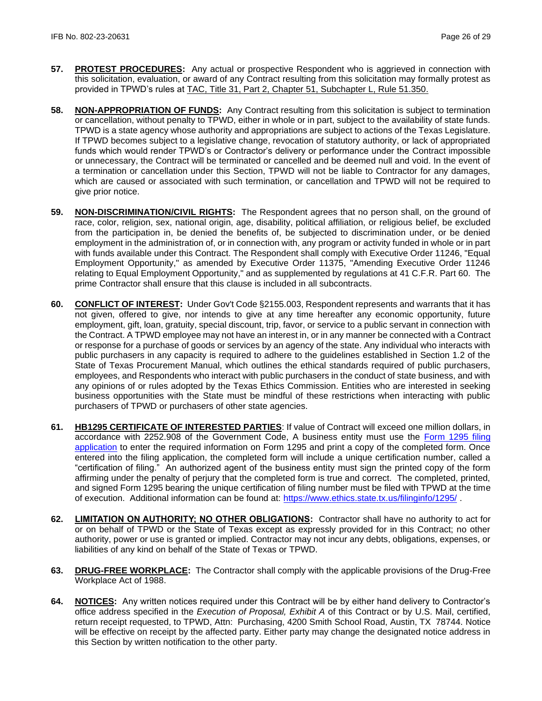- **57. PROTEST PROCEDURES:** Any actual or prospective Respondent who is aggrieved in connection with this solicitation, evaluation, or award of any Contract resulting from this solicitation may formally protest as provided in TPWD's rules at [TAC, Title 31, Part 2, Chapter 51, Subchapter L, Rule 51.350.](http://texreg.sos.state.tx.us/public/readtac$ext.TacPage?sl=R&app=9&p_dir=&p_rloc=&p_tloc=&p_ploc=&pg=1&p_tac=&ti=31&pt=2&ch=51&rl=350)
- **58. NON-APPROPRIATION OF FUNDS:** Any Contract resulting from this solicitation is subject to termination or cancellation, without penalty to TPWD, either in whole or in part, subject to the availability of state funds. TPWD is a state agency whose authority and appropriations are subject to actions of the Texas Legislature. If TPWD becomes subject to a legislative change, revocation of statutory authority, or lack of appropriated funds which would render TPWD's or Contractor's delivery or performance under the Contract impossible or unnecessary, the Contract will be terminated or cancelled and be deemed null and void. In the event of a termination or cancellation under this Section, TPWD will not be liable to Contractor for any damages, which are caused or associated with such termination, or cancellation and TPWD will not be required to give prior notice.
- **59. NON-DISCRIMINATION/CIVIL RIGHTS:** The Respondent agrees that no person shall, on the ground of race, color, religion, sex, national origin, age, disability, political affiliation, or religious belief, be excluded from the participation in, be denied the benefits of, be subjected to discrimination under, or be denied employment in the administration of, or in connection with, any program or activity funded in whole or in part with funds available under this Contract. The Respondent shall comply with Executive Order 11246, "Equal Employment Opportunity," as amended by Executive Order 11375, "Amending Executive Order 11246 relating to Equal Employment Opportunity," and as supplemented by regulations at 41 C.F.R. Part 60. The prime Contractor shall ensure that this clause is included in all subcontracts.
- **60. CONFLICT OF INTEREST:** Under Gov't Code §2155.003, Respondent represents and warrants that it has not given, offered to give, nor intends to give at any time hereafter any economic opportunity, future employment, gift, loan, gratuity, special discount, trip, favor, or service to a public servant in connection with the Contract. A TPWD employee may not have an interest in, or in any manner be connected with a Contract or response for a purchase of goods or services by an agency of the state. Any individual who interacts with public purchasers in any capacity is required to adhere to the guidelines established in Section 1.2 of the State of Texas Procurement Manual, which outlines the ethical standards required of public purchasers, employees, and Respondents who interact with public purchasers in the conduct of state business, and with any opinions of or rules adopted by the Texas Ethics Commission. Entities who are interested in seeking business opportunities with the State must be mindful of these restrictions when interacting with public purchasers of TPWD or purchasers of other state agencies.
- **61. HB1295 CERTIFICATE OF INTERESTED PARTIES**: If value of Contract will exceed one million dollars, in accordance with 2252.908 of the Government Code, A business entity must use the [Form 1295 filing](https://www.ethics.state.tx.us/whatsnew/elf_info_form1295.htm)  [application](https://www.ethics.state.tx.us/whatsnew/elf_info_form1295.htm) to enter the required information on Form 1295 and print a copy of the completed form. Once entered into the filing application, the completed form will include a unique certification number, called a "certification of filing." An authorized agent of the business entity must sign the printed copy of the form affirming under the penalty of perjury that the completed form is true and correct. The completed, printed, and signed Form 1295 bearing the unique certification of filing number must be filed with TPWD at the time of execution. Additional information can be found at:<https://www.ethics.state.tx.us/filinginfo/1295/> .
- **62. LIMITATION ON AUTHORITY; NO OTHER OBLIGATIONS:** Contractor shall have no authority to act for or on behalf of TPWD or the State of Texas except as expressly provided for in this Contract; no other authority, power or use is granted or implied. Contractor may not incur any debts, obligations, expenses, or liabilities of any kind on behalf of the State of Texas or TPWD.
- **63. DRUG-FREE WORKPLACE:** The Contractor shall comply with the applicable provisions of the Drug-Free Workplace Act of 1988.
- **64. NOTICES:** Any written notices required under this Contract will be by either hand delivery to Contractor's office address specified in the *Execution of Proposal, Exhibit A* of this Contract or by U.S. Mail, certified, return receipt requested, to TPWD, Attn: Purchasing, 4200 Smith School Road, Austin, TX 78744*.* Notice will be effective on receipt by the affected party. Either party may change the designated notice address in this Section by written notification to the other party.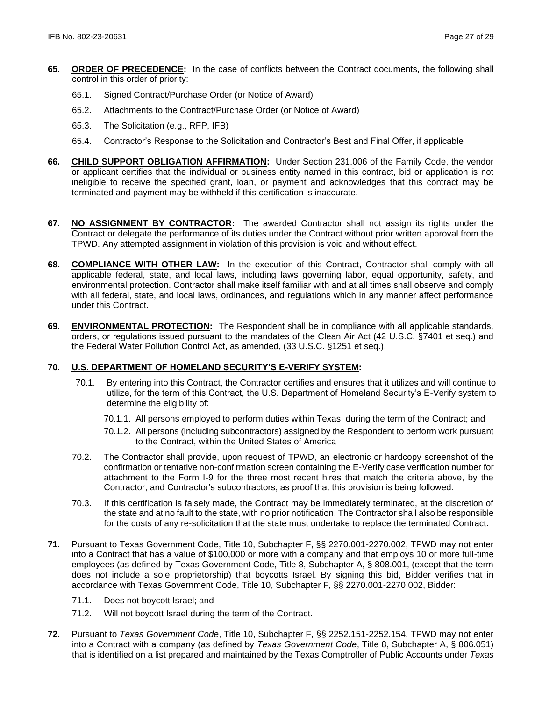- **65. ORDER OF PRECEDENCE:** In the case of conflicts between the Contract documents, the following shall control in this order of priority:
	- 65.1. Signed Contract/Purchase Order (or Notice of Award)
	- 65.2. Attachments to the Contract/Purchase Order (or Notice of Award)
	- 65.3. The Solicitation (e.g., RFP, IFB)
	- 65.4. Contractor's Response to the Solicitation and Contractor's Best and Final Offer, if applicable
- **66. CHILD SUPPORT OBLIGATION AFFIRMATION:** Under Section 231.006 of the Family Code, the vendor or applicant certifies that the individual or business entity named in this contract, bid or application is not ineligible to receive the specified grant, loan, or payment and acknowledges that this contract may be terminated and payment may be withheld if this certification is inaccurate.
- **67. NO ASSIGNMENT BY CONTRACTOR:** The awarded Contractor shall not assign its rights under the Contract or delegate the performance of its duties under the Contract without prior written approval from the TPWD. Any attempted assignment in violation of this provision is void and without effect.
- **68. COMPLIANCE WITH OTHER LAW:** In the execution of this Contract, Contractor shall comply with all applicable federal, state, and local laws, including laws governing labor, equal opportunity, safety, and environmental protection. Contractor shall make itself familiar with and at all times shall observe and comply with all federal, state, and local laws, ordinances, and regulations which in any manner affect performance under this Contract.
- **69. ENVIRONMENTAL PROTECTION:** The Respondent shall be in compliance with all applicable standards, orders, or regulations issued pursuant to the mandates of the Clean Air Act (42 U.S.C. §7401 et seq.) and the Federal Water Pollution Control Act, as amended, (33 U.S.C. §1251 et seq.).

### **70. U.S. DEPARTMENT OF HOMELAND SECURITY'S E-VERIFY SYSTEM:**

- 70.1. By entering into this Contract, the Contractor certifies and ensures that it utilizes and will continue to utilize, for the term of this Contract, the U.S. Department of Homeland Security's E-Verify system to determine the eligibility of:
	- 70.1.1. All persons employed to perform duties within Texas, during the term of the Contract; and
	- 70.1.2. All persons (including subcontractors) assigned by the Respondent to perform work pursuant to the Contract, within the United States of America
- 70.2. The Contractor shall provide, upon request of TPWD, an electronic or hardcopy screenshot of the confirmation or tentative non-confirmation screen containing the E-Verify case verification number for attachment to the Form I-9 for the three most recent hires that match the criteria above, by the Contractor, and Contractor's subcontractors, as proof that this provision is being followed.
- 70.3. If this certification is falsely made, the Contract may be immediately terminated, at the discretion of the state and at no fault to the state, with no prior notification. The Contractor shall also be responsible for the costs of any re-solicitation that the state must undertake to replace the terminated Contract.
- **71.** Pursuant to Texas Government Code, Title 10, Subchapter F, §§ 2270.001-2270.002, TPWD may not enter into a Contract that has a value of \$100,000 or more with a company and that employs 10 or more full-time employees (as defined by Texas Government Code, Title 8, Subchapter A, § 808.001, (except that the term does not include a sole proprietorship) that boycotts Israel. By signing this bid, Bidder verifies that in accordance with Texas Government Code, Title 10, Subchapter F, §§ 2270.001-2270.002, Bidder:
	- 71.1. Does not boycott Israel; and
	- 71.2. Will not boycott Israel during the term of the Contract.
- **72.** Pursuant to *Texas Government Code*, Title 10, Subchapter F, §§ 2252.151-2252.154, TPWD may not enter into a Contract with a company (as defined by *Texas Government Code*, Title 8, Subchapter A, § 806.051) that is identified on a list prepared and maintained by the Texas Comptroller of Public Accounts under *Texas*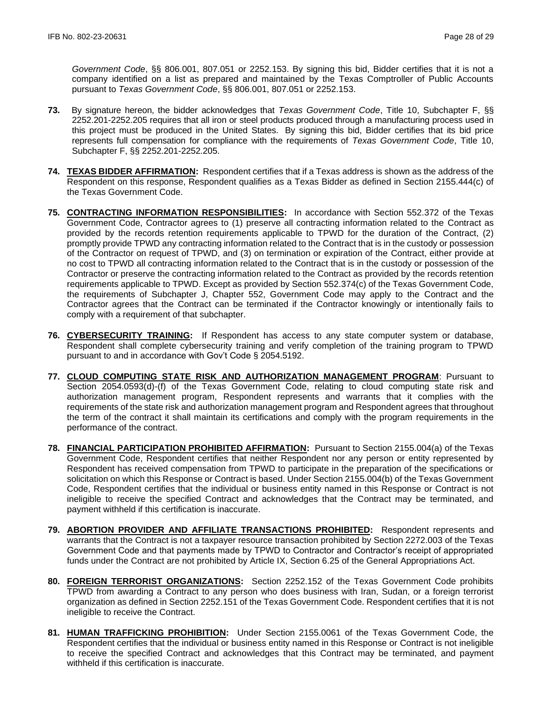*Government Code*, §§ 806.001, 807.051 or 2252.153. By signing this bid, Bidder certifies that it is not a company identified on a list as prepared and maintained by the Texas Comptroller of Public Accounts pursuant to *Texas Government Code*, §§ 806.001, 807.051 or 2252.153.

- **73.** By signature hereon, the bidder acknowledges that *Texas Government Code*, Title 10, Subchapter F, §§ 2252.201-2252.205 requires that all iron or steel products produced through a manufacturing process used in this project must be produced in the United States. By signing this bid, Bidder certifies that its bid price represents full compensation for compliance with the requirements of *Texas Government Code*, Title 10, Subchapter F, §§ 2252.201-2252.205.
- **74. TEXAS BIDDER AFFIRMATION:** Respondent certifies that if a Texas address is shown as the address of the Respondent on this response, Respondent qualifies as a Texas Bidder as defined in Section 2155.444(c) of the Texas Government Code.
- **75. CONTRACTING INFORMATION RESPONSIBILITIES:** In accordance with Section 552.372 of the Texas Government Code, Contractor agrees to (1) preserve all contracting information related to the Contract as provided by the records retention requirements applicable to TPWD for the duration of the Contract, (2) promptly provide TPWD any contracting information related to the Contract that is in the custody or possession of the Contractor on request of TPWD, and (3) on termination or expiration of the Contract, either provide at no cost to TPWD all contracting information related to the Contract that is in the custody or possession of the Contractor or preserve the contracting information related to the Contract as provided by the records retention requirements applicable to TPWD. Except as provided by Section 552.374(c) of the Texas Government Code, the requirements of Subchapter J, Chapter 552, Government Code may apply to the Contract and the Contractor agrees that the Contract can be terminated if the Contractor knowingly or intentionally fails to comply with a requirement of that subchapter.
- **76. CYBERSECURITY TRAINING:** If Respondent has access to any state computer system or database, Respondent shall complete cybersecurity training and verify completion of the training program to TPWD pursuant to and in accordance with Gov't Code § 2054.5192.
- **77. CLOUD COMPUTING STATE RISK AND AUTHORIZATION MANAGEMENT PROGRAM**: Pursuant to Section 2054.0593(d)-(f) of the Texas Government Code, relating to cloud computing state risk and authorization management program, Respondent represents and warrants that it complies with the requirements of the state risk and authorization management program and Respondent agrees that throughout the term of the contract it shall maintain its certifications and comply with the program requirements in the performance of the contract.
- **78. FINANCIAL PARTICIPATION PROHIBITED AFFIRMATION:** Pursuant to Section 2155.004(a) of the Texas Government Code, Respondent certifies that neither Respondent nor any person or entity represented by Respondent has received compensation from TPWD to participate in the preparation of the specifications or solicitation on which this Response or Contract is based. Under Section 2155.004(b) of the Texas Government Code, Respondent certifies that the individual or business entity named in this Response or Contract is not ineligible to receive the specified Contract and acknowledges that the Contract may be terminated, and payment withheld if this certification is inaccurate.
- **79. ABORTION PROVIDER AND AFFILIATE TRANSACTIONS PROHIBITED:** Respondent represents and warrants that the Contract is not a taxpayer resource transaction prohibited by Section 2272.003 of the Texas Government Code and that payments made by TPWD to Contractor and Contractor's receipt of appropriated funds under the Contract are not prohibited by Article IX, Section 6.25 of the General Appropriations Act.
- **80. FOREIGN TERRORIST ORGANIZATIONS:** Section 2252.152 of the Texas Government Code prohibits TPWD from awarding a Contract to any person who does business with Iran, Sudan, or a foreign terrorist organization as defined in Section 2252.151 of the Texas Government Code. Respondent certifies that it is not ineligible to receive the Contract.
- **81. HUMAN TRAFFICKING PROHIBITION:** Under Section 2155.0061 of the Texas Government Code, the Respondent certifies that the individual or business entity named in this Response or Contract is not ineligible to receive the specified Contract and acknowledges that this Contract may be terminated, and payment withheld if this certification is inaccurate.